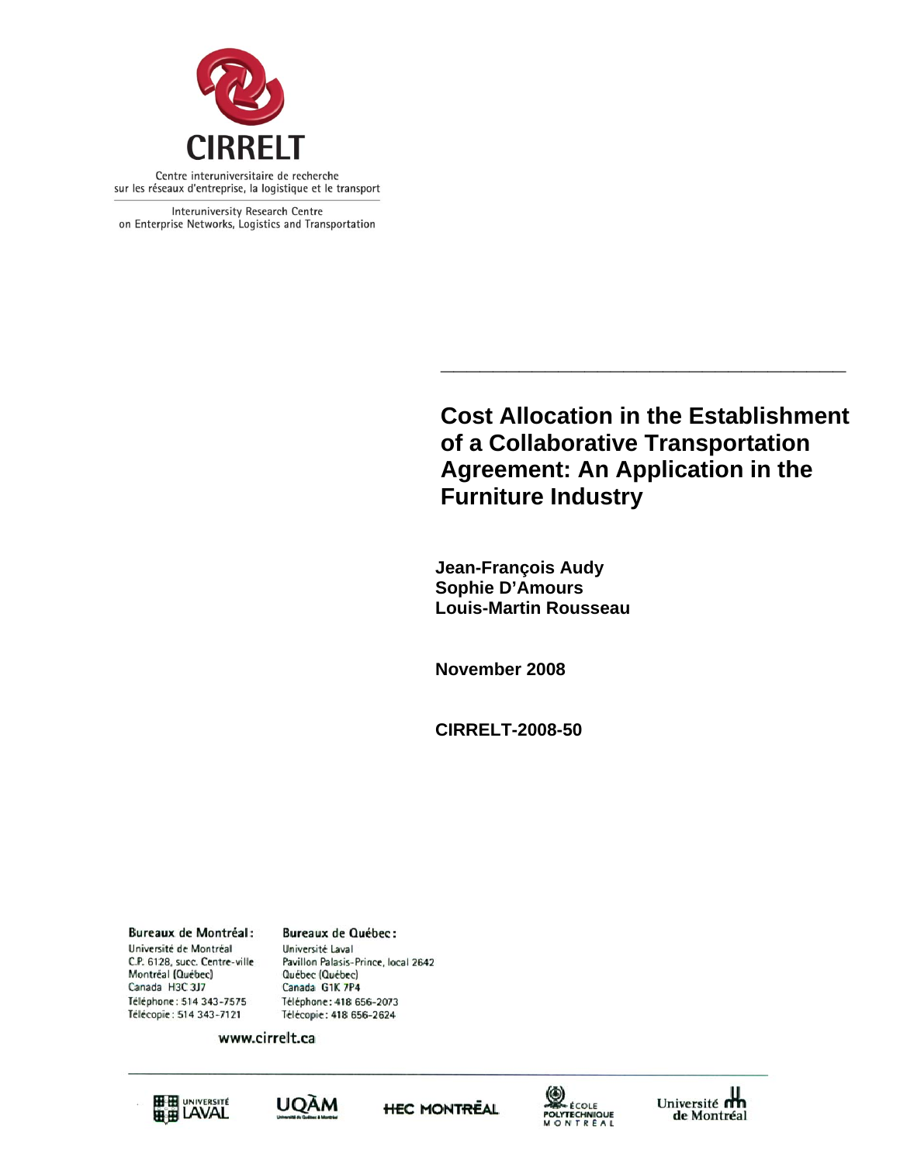

Interuniversity Research Centre on Enterprise Networks, Logistics and Transportation

> **Cost Allocation in the Establishment of a Collaborative Transportation Agreement: An Application in the Furniture Industry**

> **\_\_\_\_\_\_\_\_\_\_\_\_\_\_\_\_\_\_\_\_\_\_\_\_\_\_\_\_\_\_\_**

 **Jean-François Audy Sophie D'Amours Louis-Martin Rousseau** 

**November 2008** 

**CIRRELT-2008-50** 

**Bureaux de Montréal:** Université de Montréal C.P. 6128, succ. Centre-ville Montréal (Québec) Canada H3C 3J7 Téléphone: 514 343-7575 Télécopie: 514 343-7121

**Bureaux de Québec:** Université Laval Pavillon Palasis-Prince, local 2642 Québec (Québec) Canada G1K 7P4 Téléphone: 418 656-2073 Télécopie: 418 656-2624

www.cirrelt.ca









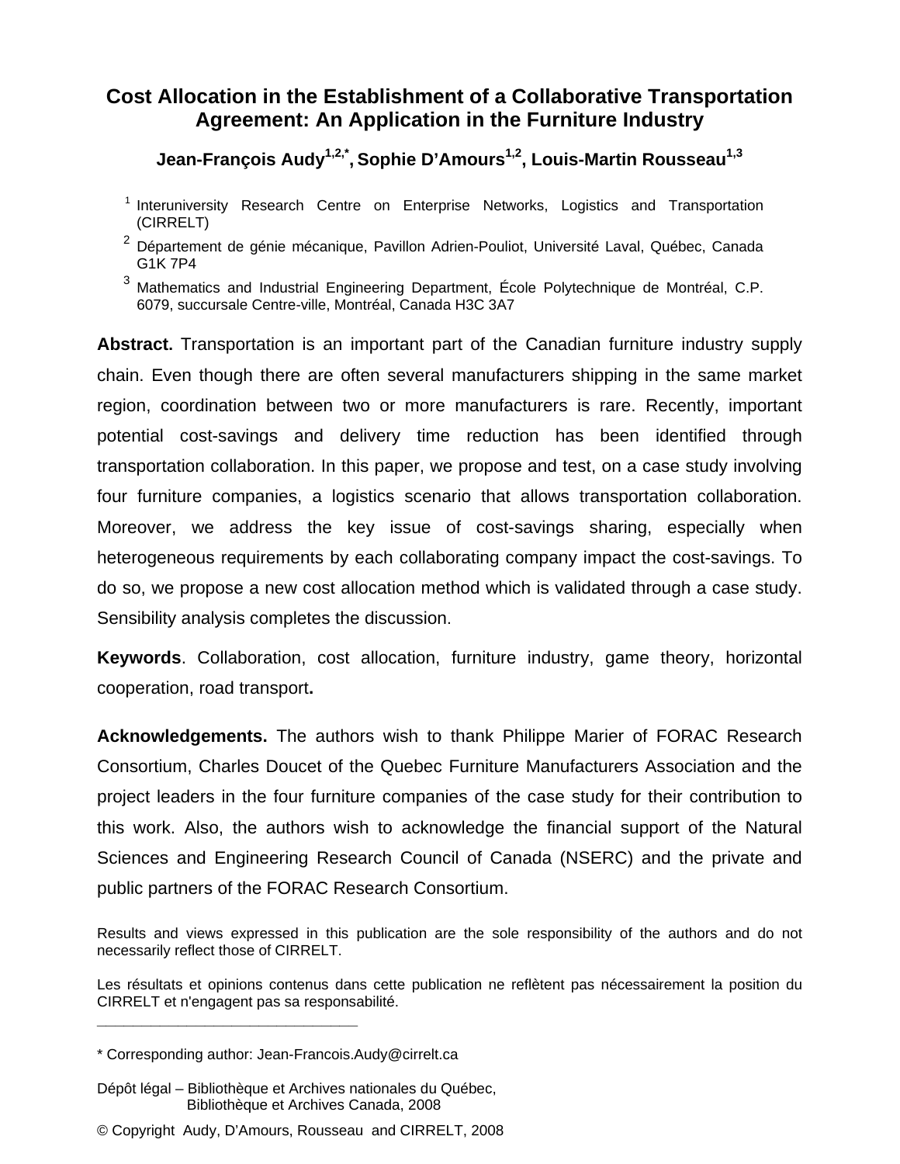# **Cost Allocation in the Establishment of a Collaborative Transportation Agreement: An Application in the Furniture Industry**

# Jean-François Audy<sup>1,2,\*</sup>, Sophie D'Amours<sup>1,2</sup>, Louis-Martin Rousseau<sup>1,3</sup>

- <sup>1</sup> Interuniversity Research Centre on Enterprise Networks, Logistics and Transportation (CIRRELT)
- <sup>2</sup> Département de génie mécanique, Pavillon Adrien-Pouliot, Université Laval, Québec, Canada G1K 7P4
- <sup>3</sup> Mathematics and Industrial Engineering Department, École Polytechnique de Montréal, C.P. 6079, succursale Centre-ville, Montréal, Canada H3C 3A7

**Abstract.** Transportation is an important part of the Canadian furniture industry supply chain. Even though there are often several manufacturers shipping in the same market region, coordination between two or more manufacturers is rare. Recently, important potential cost-savings and delivery time reduction has been identified through transportation collaboration. In this paper, we propose and test, on a case study involving four furniture companies, a logistics scenario that allows transportation collaboration. Moreover, we address the key issue of cost-savings sharing, especially when heterogeneous requirements by each collaborating company impact the cost-savings. To do so, we propose a new cost allocation method which is validated through a case study. Sensibility analysis completes the discussion.

**Keywords**. Collaboration, cost allocation, furniture industry, game theory, horizontal cooperation, road transport**.** 

**Acknowledgements.** The authors wish to thank Philippe Marier of FORAC Research Consortium, Charles Doucet of the Quebec Furniture Manufacturers Association and the project leaders in the four furniture companies of the case study for their contribution to this work. Also, the authors wish to acknowledge the financial support of the Natural Sciences and Engineering Research Council of Canada (NSERC) and the private and public partners of the FORAC Research Consortium.

**\_\_\_\_\_\_\_\_\_\_\_\_\_\_\_\_\_\_\_\_\_\_\_\_\_\_\_\_\_**

- Dépôt légal Bibliothèque et Archives nationales du Québec, Bibliothèque et Archives Canada, 2008
- © Copyright Audy, D'Amours, Rousseau and CIRRELT, 2008

Results and views expressed in this publication are the sole responsibility of the authors and do not necessarily reflect those of CIRRELT.

Les résultats et opinions contenus dans cette publication ne reflètent pas nécessairement la position du CIRRELT et n'engagent pas sa responsabilité.

<sup>\*</sup> Corresponding author: Jean-Francois.Audy@cirrelt.ca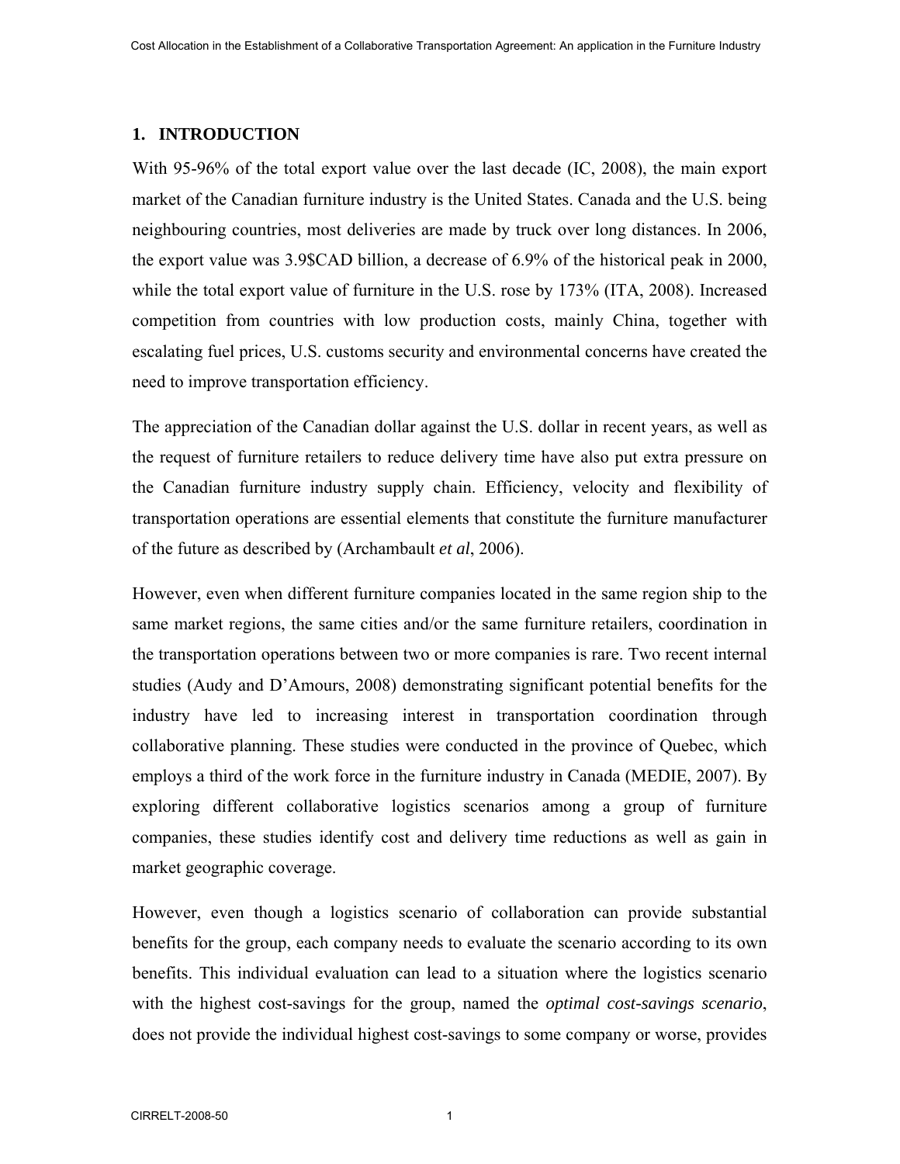### **1. INTRODUCTION**

With 95-96% of the total export value over the last decade (IC, 2008), the main export market of the Canadian furniture industry is the United States. Canada and the U.S. being neighbouring countries, most deliveries are made by truck over long distances. In 2006, the export value was 3.9\$CAD billion, a decrease of 6.9% of the historical peak in 2000, while the total export value of furniture in the U.S. rose by 173% (ITA, 2008). Increased competition from countries with low production costs, mainly China, together with escalating fuel prices, U.S. customs security and environmental concerns have created the need to improve transportation efficiency.

The appreciation of the Canadian dollar against the U.S. dollar in recent years, as well as the request of furniture retailers to reduce delivery time have also put extra pressure on the Canadian furniture industry supply chain. Efficiency, velocity and flexibility of transportation operations are essential elements that constitute the furniture manufacturer of the future as described by (Archambault *et al*, 2006).

However, even when different furniture companies located in the same region ship to the same market regions, the same cities and/or the same furniture retailers, coordination in the transportation operations between two or more companies is rare. Two recent internal studies (Audy and D'Amours, 2008) demonstrating significant potential benefits for the industry have led to increasing interest in transportation coordination through collaborative planning. These studies were conducted in the province of Quebec, which employs a third of the work force in the furniture industry in Canada (MEDIE, 2007). By exploring different collaborative logistics scenarios among a group of furniture companies, these studies identify cost and delivery time reductions as well as gain in market geographic coverage.

However, even though a logistics scenario of collaboration can provide substantial benefits for the group, each company needs to evaluate the scenario according to its own benefits. This individual evaluation can lead to a situation where the logistics scenario with the highest cost-savings for the group, named the *optimal cost-savings scenario*, does not provide the individual highest cost-savings to some company or worse, provides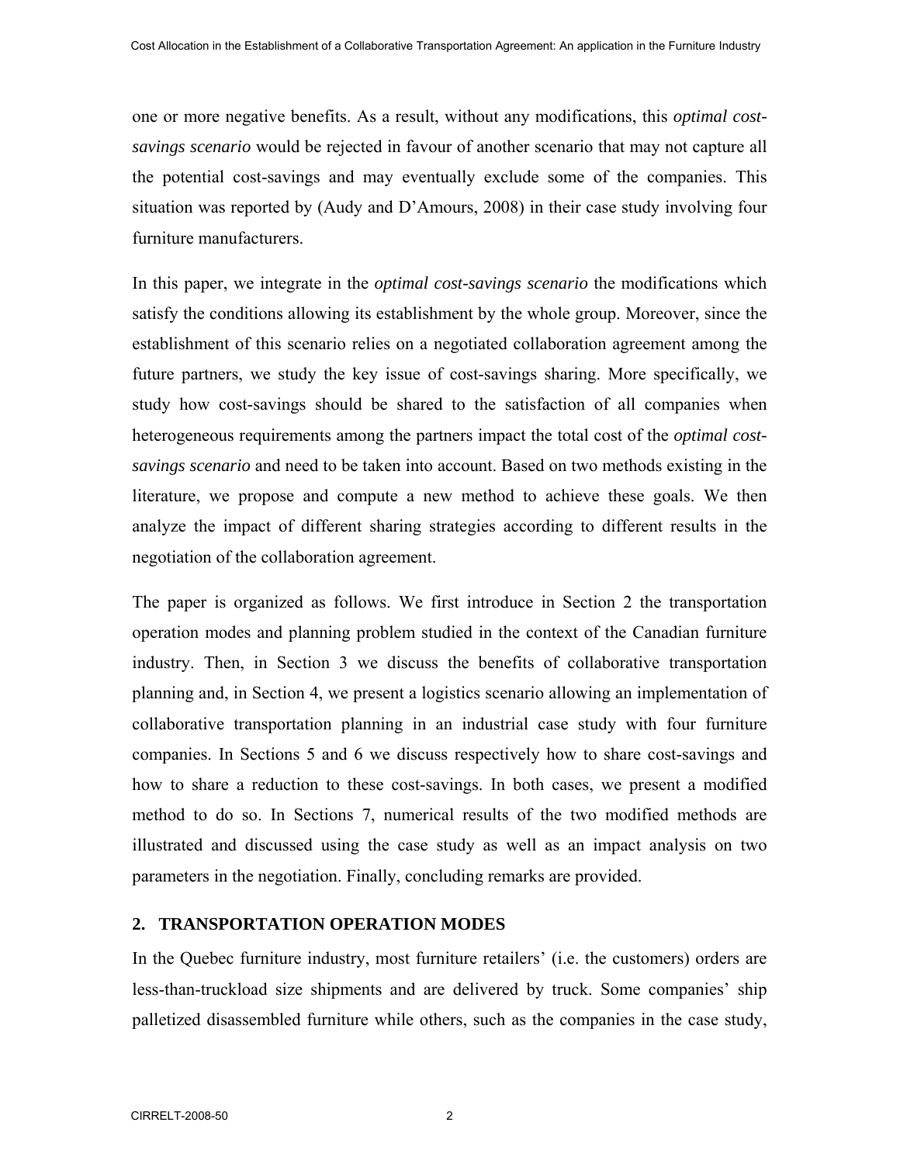one or more negative benefits. As a result, without any modifications, this *optimal costsavings scenario* would be rejected in favour of another scenario that may not capture all the potential cost-savings and may eventually exclude some of the companies. This situation was reported by (Audy and D'Amours, 2008) in their case study involving four furniture manufacturers.

In this paper, we integrate in the *optimal cost-savings scenario* the modifications which satisfy the conditions allowing its establishment by the whole group. Moreover, since the establishment of this scenario relies on a negotiated collaboration agreement among the future partners, we study the key issue of cost-savings sharing. More specifically, we study how cost-savings should be shared to the satisfaction of all companies when heterogeneous requirements among the partners impact the total cost of the *optimal costsavings scenario* and need to be taken into account. Based on two methods existing in the literature, we propose and compute a new method to achieve these goals. We then analyze the impact of different sharing strategies according to different results in the negotiation of the collaboration agreement.

The paper is organized as follows. We first introduce in Section 2 the transportation operation modes and planning problem studied in the context of the Canadian furniture industry. Then, in Section 3 we discuss the benefits of collaborative transportation planning and, in Section 4, we present a logistics scenario allowing an implementation of collaborative transportation planning in an industrial case study with four furniture companies. In Sections 5 and 6 we discuss respectively how to share cost-savings and how to share a reduction to these cost-savings. In both cases, we present a modified method to do so. In Sections 7, numerical results of the two modified methods are illustrated and discussed using the case study as well as an impact analysis on two parameters in the negotiation. Finally, concluding remarks are provided.

# **2. TRANSPORTATION OPERATION MODES**

In the Quebec furniture industry, most furniture retailers' (i.e. the customers) orders are less-than-truckload size shipments and are delivered by truck. Some companies' ship palletized disassembled furniture while others, such as the companies in the case study,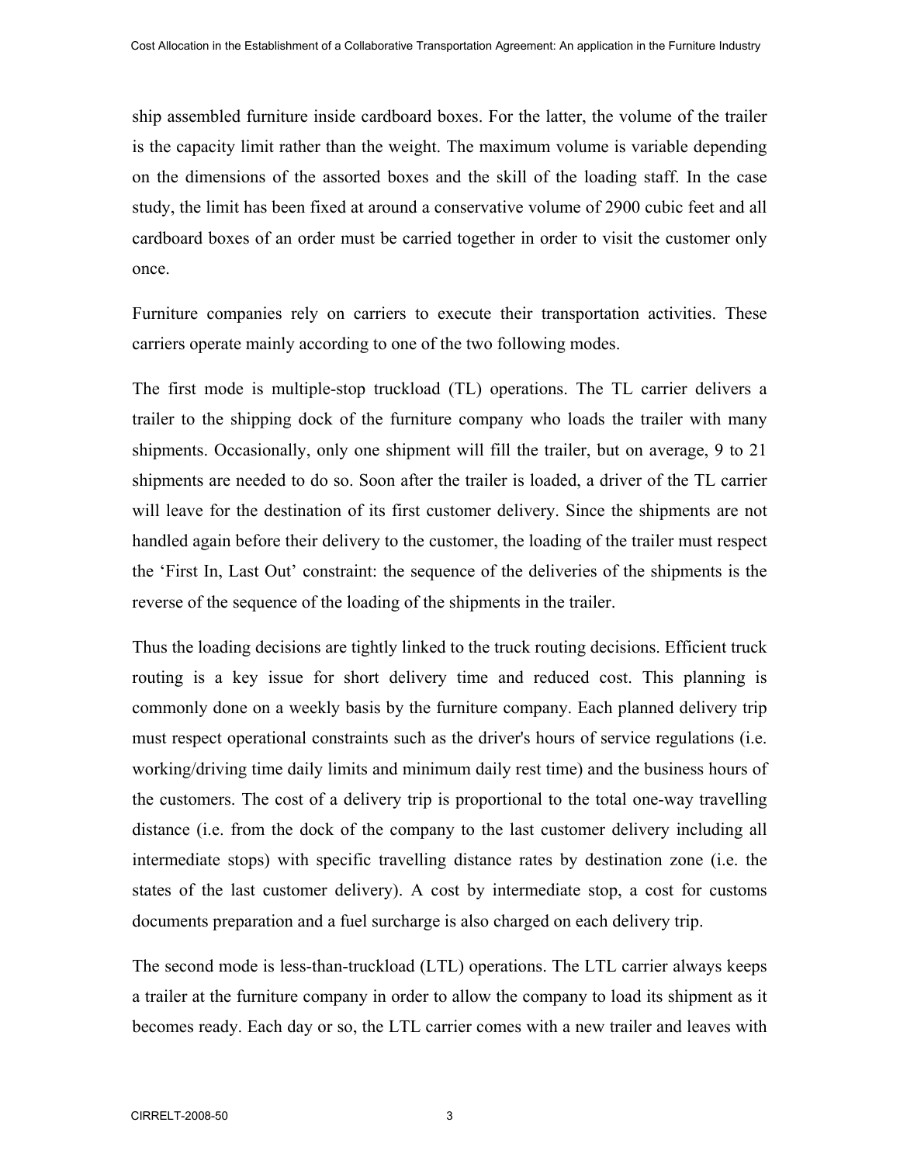ship assembled furniture inside cardboard boxes. For the latter, the volume of the trailer is the capacity limit rather than the weight. The maximum volume is variable depending on the dimensions of the assorted boxes and the skill of the loading staff. In the case study, the limit has been fixed at around a conservative volume of 2900 cubic feet and all cardboard boxes of an order must be carried together in order to visit the customer only once.

Furniture companies rely on carriers to execute their transportation activities. These carriers operate mainly according to one of the two following modes.

The first mode is multiple-stop truckload (TL) operations. The TL carrier delivers a trailer to the shipping dock of the furniture company who loads the trailer with many shipments. Occasionally, only one shipment will fill the trailer, but on average, 9 to 21 shipments are needed to do so. Soon after the trailer is loaded, a driver of the TL carrier will leave for the destination of its first customer delivery. Since the shipments are not handled again before their delivery to the customer, the loading of the trailer must respect the 'First In, Last Out' constraint: the sequence of the deliveries of the shipments is the reverse of the sequence of the loading of the shipments in the trailer.

Thus the loading decisions are tightly linked to the truck routing decisions. Efficient truck routing is a key issue for short delivery time and reduced cost. This planning is commonly done on a weekly basis by the furniture company. Each planned delivery trip must respect operational constraints such as the driver's hours of service regulations (i.e. working/driving time daily limits and minimum daily rest time) and the business hours of the customers. The cost of a delivery trip is proportional to the total one-way travelling distance (i.e. from the dock of the company to the last customer delivery including all intermediate stops) with specific travelling distance rates by destination zone (i.e. the states of the last customer delivery). A cost by intermediate stop, a cost for customs documents preparation and a fuel surcharge is also charged on each delivery trip.

The second mode is less-than-truckload (LTL) operations. The LTL carrier always keeps a trailer at the furniture company in order to allow the company to load its shipment as it becomes ready. Each day or so, the LTL carrier comes with a new trailer and leaves with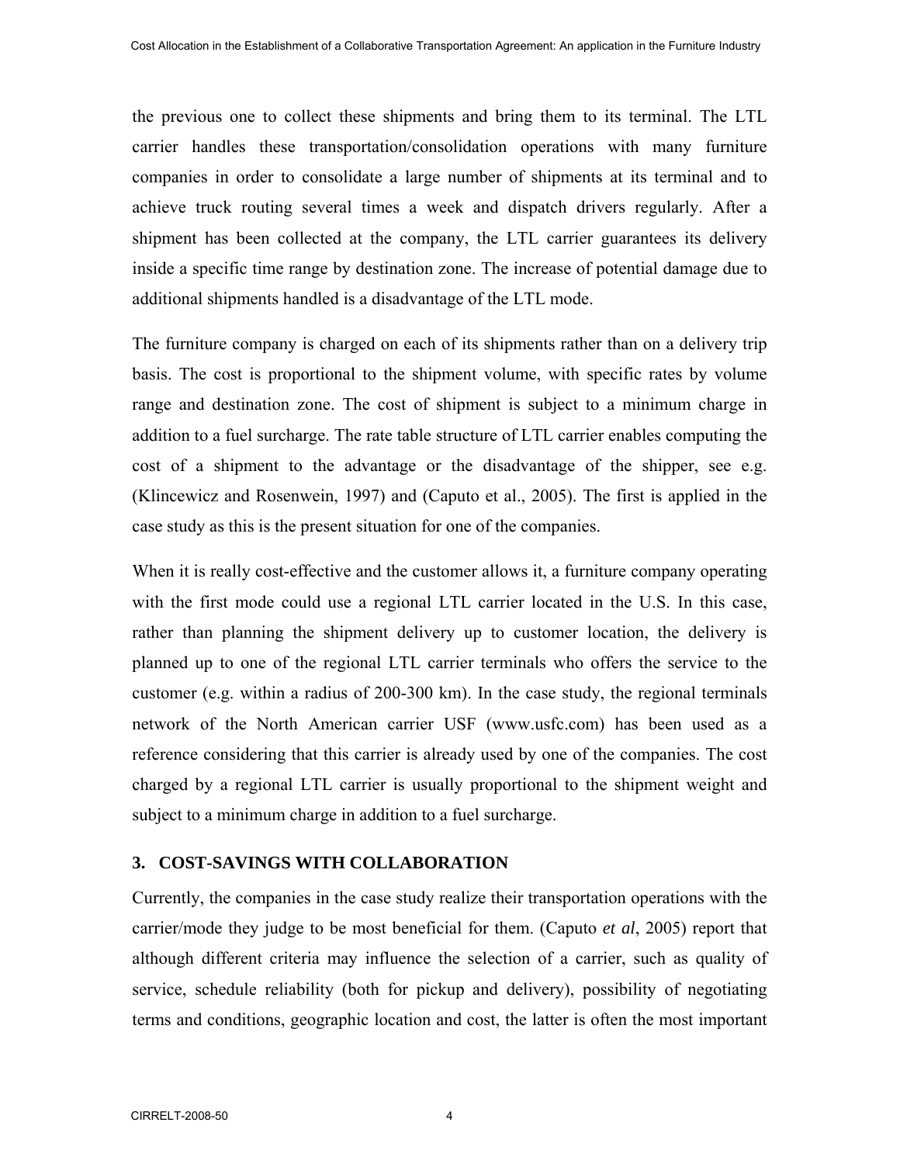the previous one to collect these shipments and bring them to its terminal. The LTL carrier handles these transportation/consolidation operations with many furniture companies in order to consolidate a large number of shipments at its terminal and to achieve truck routing several times a week and dispatch drivers regularly. After a shipment has been collected at the company, the LTL carrier guarantees its delivery inside a specific time range by destination zone. The increase of potential damage due to additional shipments handled is a disadvantage of the LTL mode.

The furniture company is charged on each of its shipments rather than on a delivery trip basis. The cost is proportional to the shipment volume, with specific rates by volume range and destination zone. The cost of shipment is subject to a minimum charge in addition to a fuel surcharge. The rate table structure of LTL carrier enables computing the cost of a shipment to the advantage or the disadvantage of the shipper, see e.g. (Klincewicz and Rosenwein, 1997) and (Caputo et al., 2005). The first is applied in the case study as this is the present situation for one of the companies.

When it is really cost-effective and the customer allows it, a furniture company operating with the first mode could use a regional LTL carrier located in the U.S. In this case, rather than planning the shipment delivery up to customer location, the delivery is planned up to one of the regional LTL carrier terminals who offers the service to the customer (e.g. within a radius of 200-300 km). In the case study, the regional terminals network of the North American carrier USF (www.usfc.com) has been used as a reference considering that this carrier is already used by one of the companies. The cost charged by a regional LTL carrier is usually proportional to the shipment weight and subject to a minimum charge in addition to a fuel surcharge.

# **3. COST-SAVINGS WITH COLLABORATION**

Currently, the companies in the case study realize their transportation operations with the carrier/mode they judge to be most beneficial for them. (Caputo *et al*, 2005) report that although different criteria may influence the selection of a carrier, such as quality of service, schedule reliability (both for pickup and delivery), possibility of negotiating terms and conditions, geographic location and cost, the latter is often the most important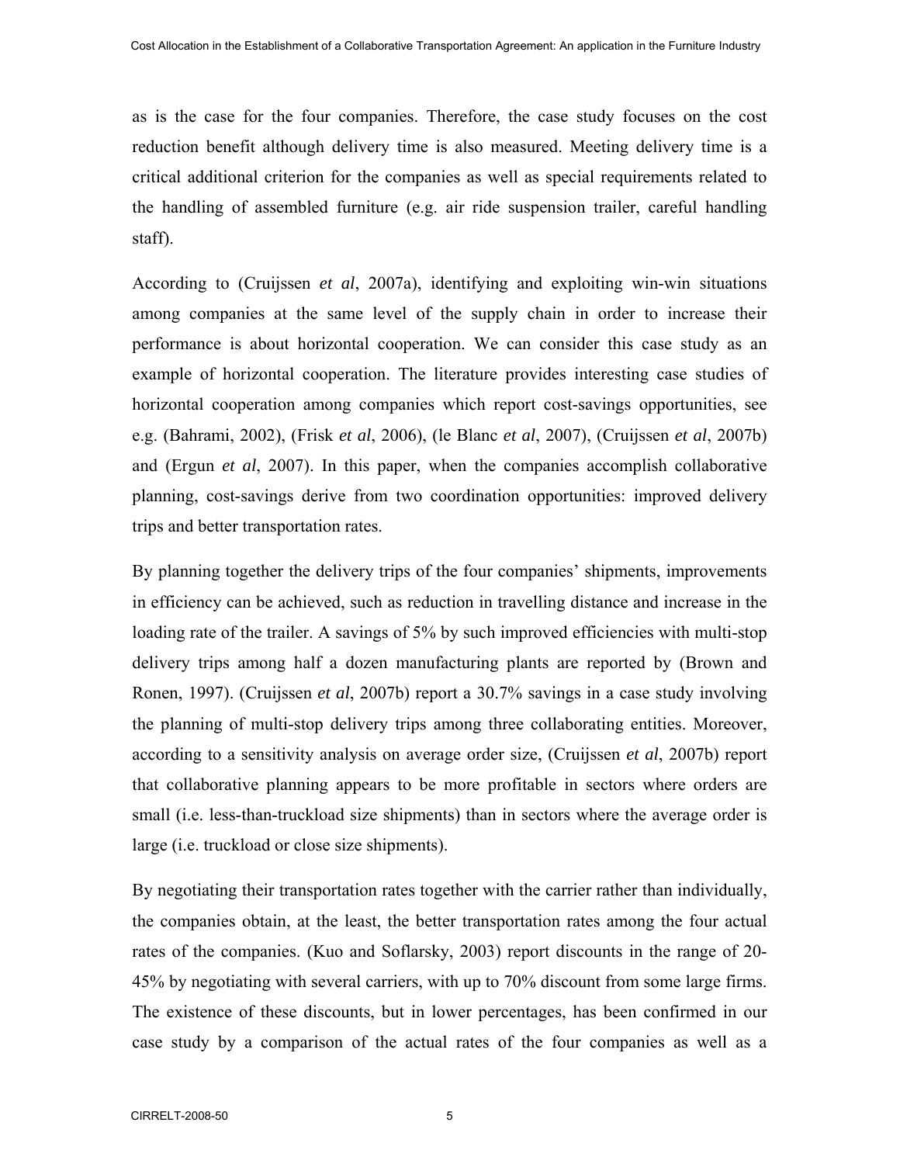as is the case for the four companies. Therefore, the case study focuses on the cost reduction benefit although delivery time is also measured. Meeting delivery time is a critical additional criterion for the companies as well as special requirements related to the handling of assembled furniture (e.g. air ride suspension trailer, careful handling staff).

According to (Cruijssen *et al*, 2007a), identifying and exploiting win-win situations among companies at the same level of the supply chain in order to increase their performance is about horizontal cooperation. We can consider this case study as an example of horizontal cooperation. The literature provides interesting case studies of horizontal cooperation among companies which report cost-savings opportunities, see e.g. (Bahrami, 2002), (Frisk *et al*, 2006), (le Blanc *et al*, 2007), (Cruijssen *et al*, 2007b) and (Ergun *et al*, 2007). In this paper, when the companies accomplish collaborative planning, cost-savings derive from two coordination opportunities: improved delivery trips and better transportation rates.

By planning together the delivery trips of the four companies' shipments, improvements in efficiency can be achieved, such as reduction in travelling distance and increase in the loading rate of the trailer. A savings of 5% by such improved efficiencies with multi-stop delivery trips among half a dozen manufacturing plants are reported by (Brown and Ronen, 1997). (Cruijssen *et al*, 2007b) report a 30.7% savings in a case study involving the planning of multi-stop delivery trips among three collaborating entities. Moreover, according to a sensitivity analysis on average order size, (Cruijssen *et al*, 2007b) report that collaborative planning appears to be more profitable in sectors where orders are small (i.e. less-than-truckload size shipments) than in sectors where the average order is large (i.e. truckload or close size shipments).

By negotiating their transportation rates together with the carrier rather than individually, the companies obtain, at the least, the better transportation rates among the four actual rates of the companies. (Kuo and Soflarsky, 2003) report discounts in the range of 20- 45% by negotiating with several carriers, with up to 70% discount from some large firms. The existence of these discounts, but in lower percentages, has been confirmed in our case study by a comparison of the actual rates of the four companies as well as a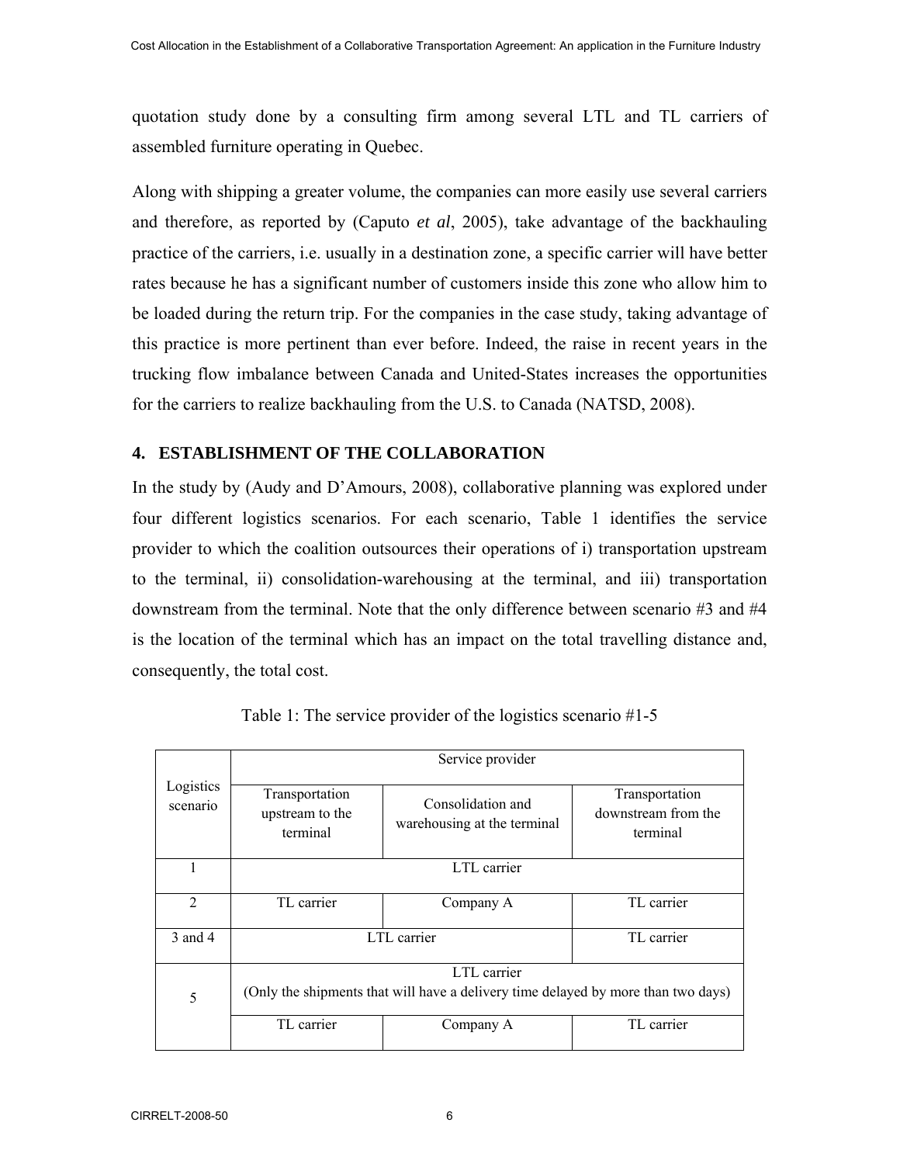quotation study done by a consulting firm among several LTL and TL carriers of assembled furniture operating in Quebec.

Along with shipping a greater volume, the companies can more easily use several carriers and therefore, as reported by (Caputo *et al*, 2005), take advantage of the backhauling practice of the carriers, i.e. usually in a destination zone, a specific carrier will have better rates because he has a significant number of customers inside this zone who allow him to be loaded during the return trip. For the companies in the case study, taking advantage of this practice is more pertinent than ever before. Indeed, the raise in recent years in the trucking flow imbalance between Canada and United-States increases the opportunities for the carriers to realize backhauling from the U.S. to Canada (NATSD, 2008).

# **4. ESTABLISHMENT OF THE COLLABORATION**

In the study by (Audy and D'Amours, 2008), collaborative planning was explored under four different logistics scenarios. For each scenario, Table 1 identifies the service provider to which the coalition outsources their operations of i) transportation upstream to the terminal, ii) consolidation-warehousing at the terminal, and iii) transportation downstream from the terminal. Note that the only difference between scenario #3 and #4 is the location of the terminal which has an impact on the total travelling distance and, consequently, the total cost.

|                       | Service provider                                                                  |                                                  |                                                   |  |  |
|-----------------------|-----------------------------------------------------------------------------------|--------------------------------------------------|---------------------------------------------------|--|--|
| Logistics<br>scenario | Transportation<br>upstream to the<br>terminal                                     | Consolidation and<br>warehousing at the terminal | Transportation<br>downstream from the<br>terminal |  |  |
| 1                     | LTL carrier                                                                       |                                                  |                                                   |  |  |
| $\overline{2}$        | TL carrier                                                                        | Company A                                        | TL carrier                                        |  |  |
| 3 and 4               | LTL carrier                                                                       | TL carrier                                       |                                                   |  |  |
|                       | LTL carrier                                                                       |                                                  |                                                   |  |  |
| 5                     | (Only the shipments that will have a delivery time delayed by more than two days) |                                                  |                                                   |  |  |
|                       | TL carrier                                                                        | Company A                                        | TL carrier                                        |  |  |

Table 1: The service provider of the logistics scenario #1-5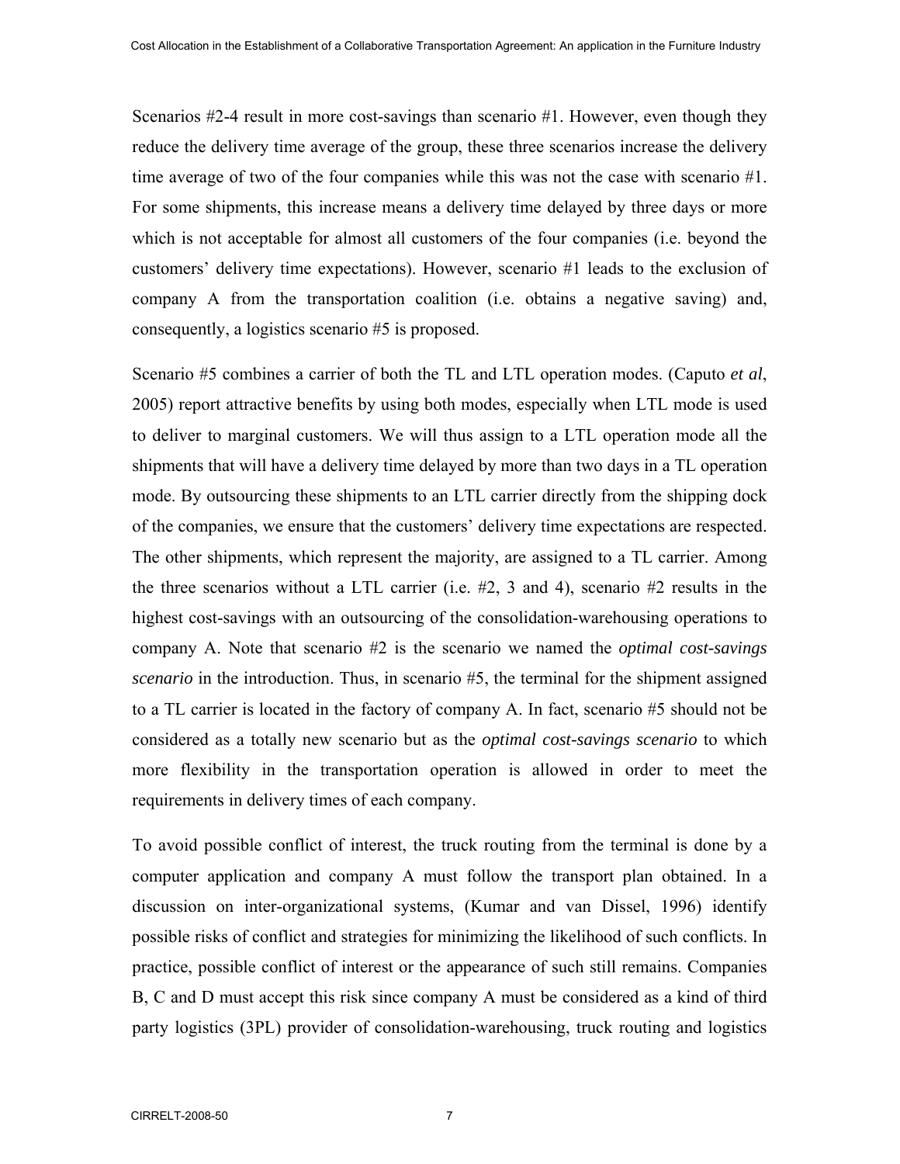Scenarios #2-4 result in more cost-savings than scenario #1. However, even though they reduce the delivery time average of the group, these three scenarios increase the delivery time average of two of the four companies while this was not the case with scenario #1. For some shipments, this increase means a delivery time delayed by three days or more which is not acceptable for almost all customers of the four companies (i.e. beyond the customers' delivery time expectations). However, scenario #1 leads to the exclusion of company A from the transportation coalition (i.e. obtains a negative saving) and, consequently, a logistics scenario #5 is proposed.

Scenario #5 combines a carrier of both the TL and LTL operation modes. (Caputo *et al*, 2005) report attractive benefits by using both modes, especially when LTL mode is used to deliver to marginal customers. We will thus assign to a LTL operation mode all the shipments that will have a delivery time delayed by more than two days in a TL operation mode. By outsourcing these shipments to an LTL carrier directly from the shipping dock of the companies, we ensure that the customers' delivery time expectations are respected. The other shipments, which represent the majority, are assigned to a TL carrier. Among the three scenarios without a LTL carrier (i.e. #2, 3 and 4), scenario #2 results in the highest cost-savings with an outsourcing of the consolidation-warehousing operations to company A. Note that scenario #2 is the scenario we named the *optimal cost-savings scenario* in the introduction. Thus, in scenario #5, the terminal for the shipment assigned to a TL carrier is located in the factory of company A. In fact, scenario #5 should not be considered as a totally new scenario but as the *optimal cost-savings scenario* to which more flexibility in the transportation operation is allowed in order to meet the requirements in delivery times of each company.

To avoid possible conflict of interest, the truck routing from the terminal is done by a computer application and company A must follow the transport plan obtained. In a discussion on inter-organizational systems, (Kumar and van Dissel, 1996) identify possible risks of conflict and strategies for minimizing the likelihood of such conflicts. In practice, possible conflict of interest or the appearance of such still remains. Companies B, C and D must accept this risk since company A must be considered as a kind of third party logistics (3PL) provider of consolidation-warehousing, truck routing and logistics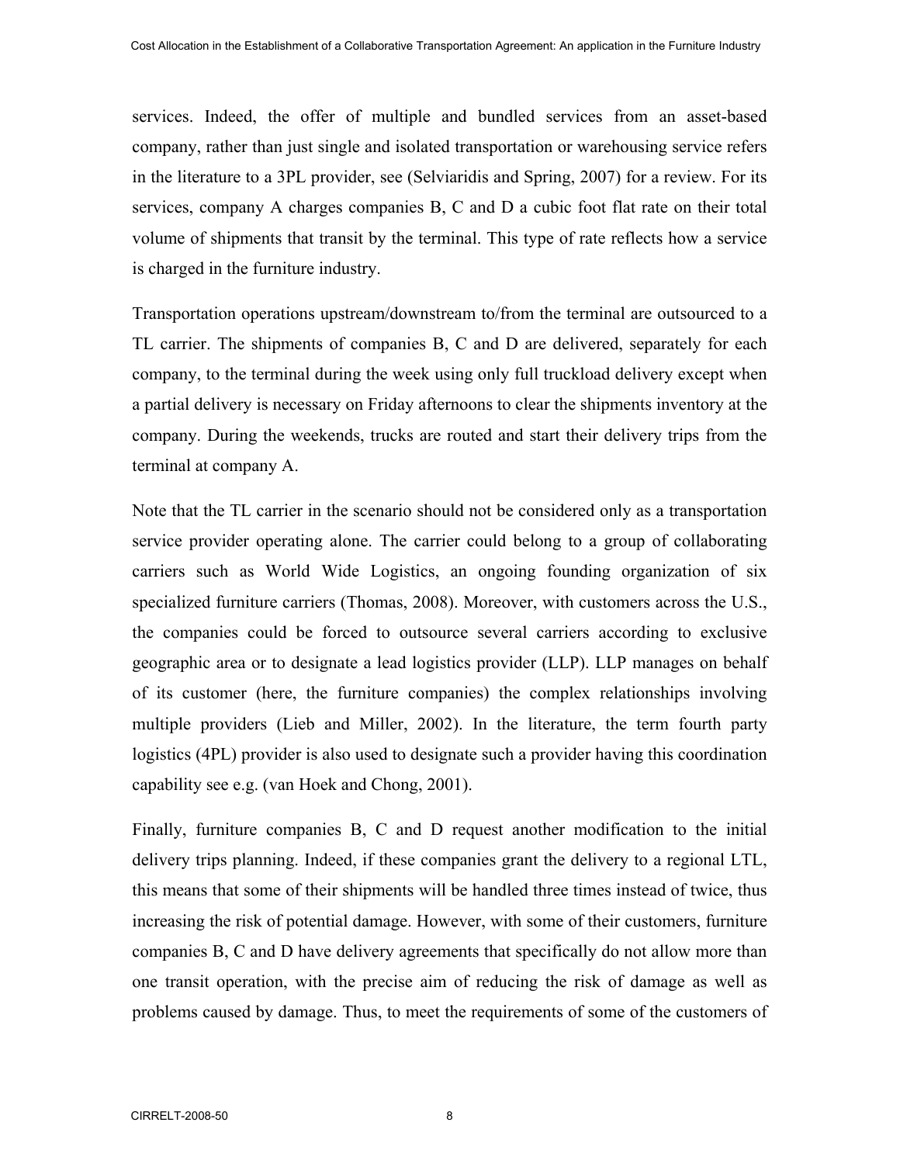services. Indeed, the offer of multiple and bundled services from an asset-based company, rather than just single and isolated transportation or warehousing service refers in the literature to a 3PL provider, see (Selviaridis and Spring, 2007) for a review. For its services, company A charges companies B, C and D a cubic foot flat rate on their total volume of shipments that transit by the terminal. This type of rate reflects how a service is charged in the furniture industry.

Transportation operations upstream/downstream to/from the terminal are outsourced to a TL carrier. The shipments of companies B, C and D are delivered, separately for each company, to the terminal during the week using only full truckload delivery except when a partial delivery is necessary on Friday afternoons to clear the shipments inventory at the company. During the weekends, trucks are routed and start their delivery trips from the terminal at company A.

Note that the TL carrier in the scenario should not be considered only as a transportation service provider operating alone. The carrier could belong to a group of collaborating carriers such as World Wide Logistics, an ongoing founding organization of six specialized furniture carriers (Thomas, 2008). Moreover, with customers across the U.S., the companies could be forced to outsource several carriers according to exclusive geographic area or to designate a lead logistics provider (LLP). LLP manages on behalf of its customer (here, the furniture companies) the complex relationships involving multiple providers (Lieb and Miller, 2002). In the literature, the term fourth party logistics (4PL) provider is also used to designate such a provider having this coordination capability see e.g. (van Hoek and Chong, 2001).

Finally, furniture companies B, C and D request another modification to the initial delivery trips planning. Indeed, if these companies grant the delivery to a regional LTL, this means that some of their shipments will be handled three times instead of twice, thus increasing the risk of potential damage. However, with some of their customers, furniture companies B, C and D have delivery agreements that specifically do not allow more than one transit operation, with the precise aim of reducing the risk of damage as well as problems caused by damage. Thus, to meet the requirements of some of the customers of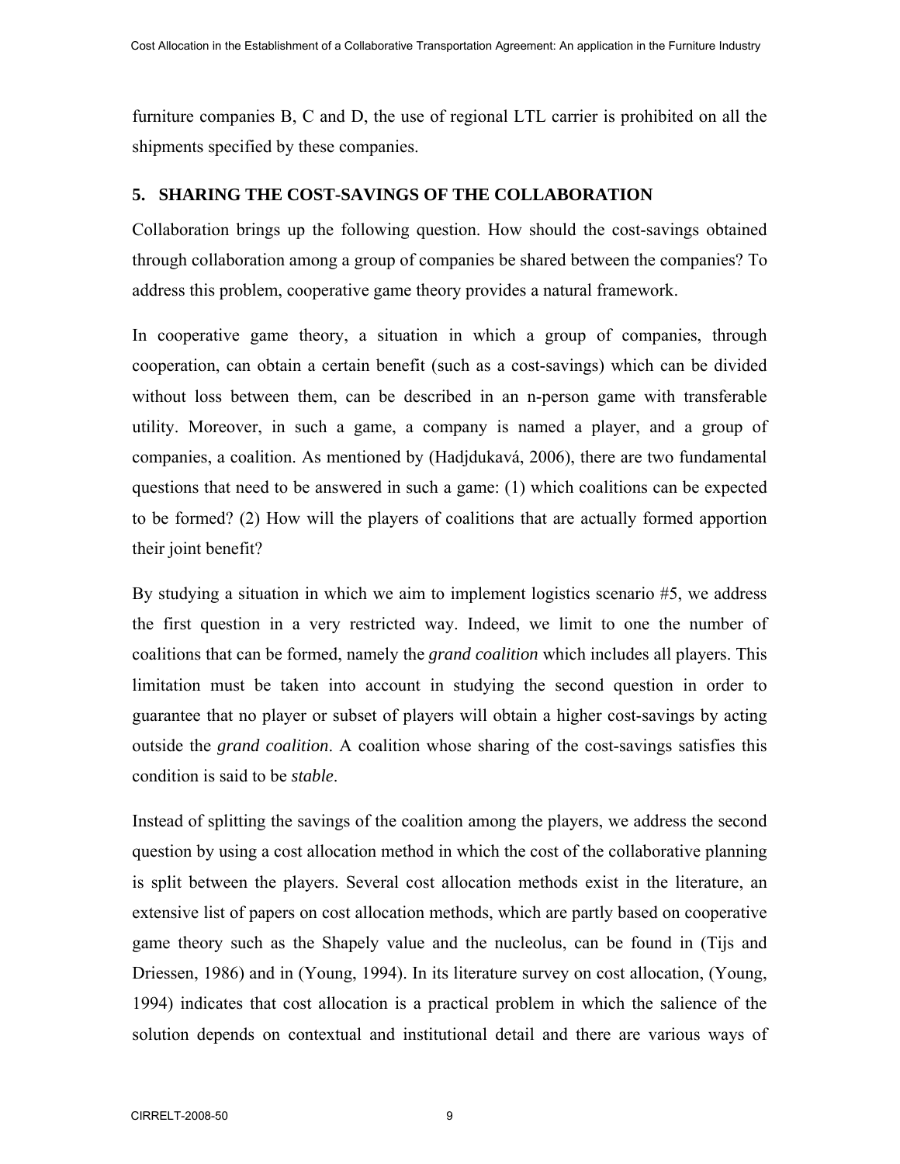furniture companies B, C and D, the use of regional LTL carrier is prohibited on all the shipments specified by these companies.

# **5. SHARING THE COST-SAVINGS OF THE COLLABORATION**

Collaboration brings up the following question. How should the cost-savings obtained through collaboration among a group of companies be shared between the companies? To address this problem, cooperative game theory provides a natural framework.

In cooperative game theory, a situation in which a group of companies, through cooperation, can obtain a certain benefit (such as a cost-savings) which can be divided without loss between them, can be described in an n-person game with transferable utility. Moreover, in such a game, a company is named a player, and a group of companies, a coalition. As mentioned by (Hadjdukavá, 2006), there are two fundamental questions that need to be answered in such a game: (1) which coalitions can be expected to be formed? (2) How will the players of coalitions that are actually formed apportion their joint benefit?

By studying a situation in which we aim to implement logistics scenario #5, we address the first question in a very restricted way. Indeed, we limit to one the number of coalitions that can be formed, namely the *grand coalition* which includes all players. This limitation must be taken into account in studying the second question in order to guarantee that no player or subset of players will obtain a higher cost-savings by acting outside the *grand coalition*. A coalition whose sharing of the cost-savings satisfies this condition is said to be *stable*.

Instead of splitting the savings of the coalition among the players, we address the second question by using a cost allocation method in which the cost of the collaborative planning is split between the players. Several cost allocation methods exist in the literature, an extensive list of papers on cost allocation methods, which are partly based on cooperative game theory such as the Shapely value and the nucleolus, can be found in (Tijs and Driessen, 1986) and in (Young, 1994). In its literature survey on cost allocation, (Young, 1994) indicates that cost allocation is a practical problem in which the salience of the solution depends on contextual and institutional detail and there are various ways of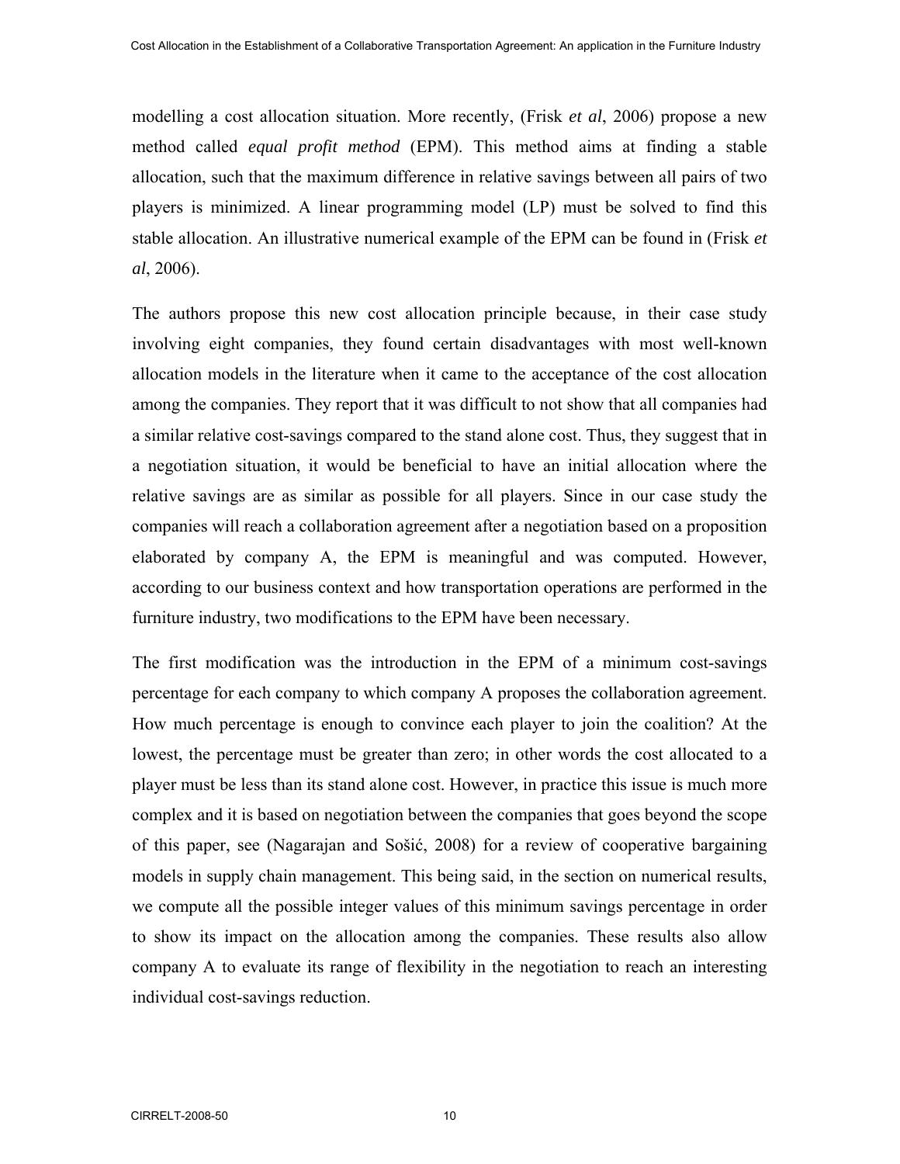modelling a cost allocation situation. More recently, (Frisk *et al*, 2006) propose a new method called *equal profit method* (EPM). This method aims at finding a stable allocation, such that the maximum difference in relative savings between all pairs of two players is minimized. A linear programming model (LP) must be solved to find this stable allocation. An illustrative numerical example of the EPM can be found in (Frisk *et al*, 2006).

The authors propose this new cost allocation principle because, in their case study involving eight companies, they found certain disadvantages with most well-known allocation models in the literature when it came to the acceptance of the cost allocation among the companies. They report that it was difficult to not show that all companies had a similar relative cost-savings compared to the stand alone cost. Thus, they suggest that in a negotiation situation, it would be beneficial to have an initial allocation where the relative savings are as similar as possible for all players. Since in our case study the companies will reach a collaboration agreement after a negotiation based on a proposition elaborated by company A, the EPM is meaningful and was computed. However, according to our business context and how transportation operations are performed in the furniture industry, two modifications to the EPM have been necessary.

The first modification was the introduction in the EPM of a minimum cost-savings percentage for each company to which company A proposes the collaboration agreement. How much percentage is enough to convince each player to join the coalition? At the lowest, the percentage must be greater than zero; in other words the cost allocated to a player must be less than its stand alone cost. However, in practice this issue is much more complex and it is based on negotiation between the companies that goes beyond the scope of this paper, see (Nagarajan and Sošić, 2008) for a review of cooperative bargaining models in supply chain management. This being said, in the section on numerical results, we compute all the possible integer values of this minimum savings percentage in order to show its impact on the allocation among the companies. These results also allow company A to evaluate its range of flexibility in the negotiation to reach an interesting individual cost-savings reduction.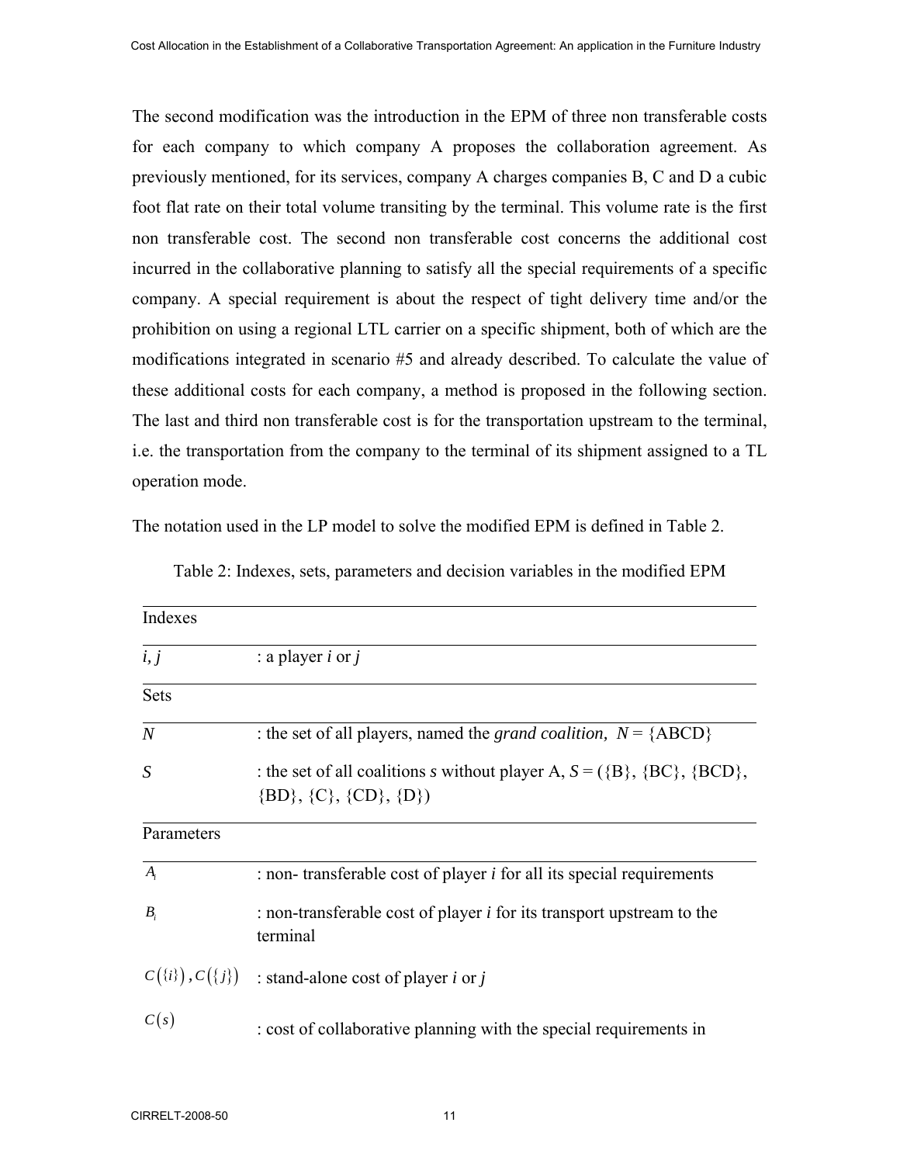The second modification was the introduction in the EPM of three non transferable costs for each company to which company A proposes the collaboration agreement. As previously mentioned, for its services, company A charges companies B, C and D a cubic foot flat rate on their total volume transiting by the terminal. This volume rate is the first non transferable cost. The second non transferable cost concerns the additional cost incurred in the collaborative planning to satisfy all the special requirements of a specific company. A special requirement is about the respect of tight delivery time and/or the prohibition on using a regional LTL carrier on a specific shipment, both of which are the modifications integrated in scenario #5 and already described. To calculate the value of these additional costs for each company, a method is proposed in the following section. The last and third non transferable cost is for the transportation upstream to the terminal, i.e. the transportation from the company to the terminal of its shipment assigned to a TL operation mode.

The notation used in the LP model to solve the modified EPM is defined in Table 2.

| Indexes        |                                                                                                                     |  |  |  |
|----------------|---------------------------------------------------------------------------------------------------------------------|--|--|--|
| i, j           | : a player <i>i</i> or $j$                                                                                          |  |  |  |
| Sets           |                                                                                                                     |  |  |  |
| $\overline{N}$ | : the set of all players, named the <i>grand coalition</i> , $N = \{ABCD\}$                                         |  |  |  |
| S              | : the set of all coalitions s without player A, $S = (\{B\}, \{BC\}, \{BCD\})$ ,<br>$\{BD\}, \{C\}, \{CD\}, \{D\}\$ |  |  |  |
| Parameters     |                                                                                                                     |  |  |  |
| $A_i$          | : non-transferable cost of player $i$ for all its special requirements                                              |  |  |  |
| $B_i$          | : non-transferable cost of player <i>i</i> for its transport upstream to the<br>terminal                            |  |  |  |
|                | $C({i})$ , $C({j})$ : stand-alone cost of player <i>i</i> or <i>j</i>                                               |  |  |  |
| C(s)           | : cost of collaborative planning with the special requirements in                                                   |  |  |  |

Table 2: Indexes, sets, parameters and decision variables in the modified EPM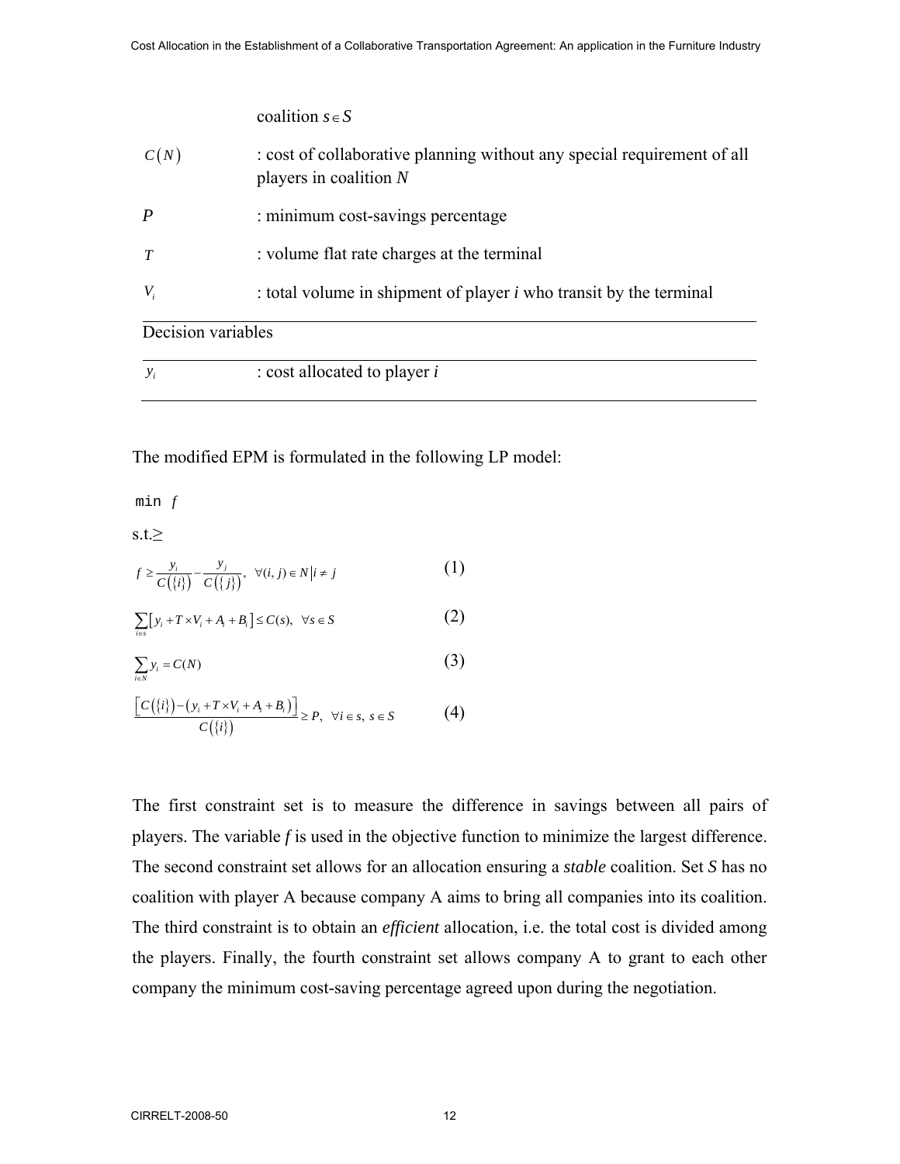### coalition *s*∈*S*

| C(N)               | : cost of collaborative planning without any special requirement of all<br>players in coalition $N$ |
|--------------------|-----------------------------------------------------------------------------------------------------|
| $\boldsymbol{P}$   | : minimum cost-savings percentage                                                                   |
|                    | : volume flat rate charges at the terminal                                                          |
| $V_{i}$            | : total volume in shipment of player $i$ who transit by the terminal                                |
| Decision variables |                                                                                                     |

| : cost allocated to player $i$ |
|--------------------------------|
|                                |

The modified EPM is formulated in the following LP model:

min *f*

s.t. $\geq$ 

$$
f \ge \frac{y_i}{C(\{i\})} - \frac{y_j}{C(\{j\})}, \ \forall (i, j) \in N | i \ne j
$$
 (1)

$$
\sum_{i \in s} [y_i + T \times V_i + A_i + B_i] \le C(s), \quad \forall s \in S
$$
 (2)

$$
\sum_{i \in N} y_i = C(N) \tag{3}
$$

$$
\frac{\left[C(\lbrace i\rbrace) - \left(y_i + T \times V_i + A_i + B_i\right)\right]}{C(\lbrace i\rbrace)} \ge P, \forall i \in S, s \in S
$$
 (4)

The first constraint set is to measure the difference in savings between all pairs of players. The variable *f* is used in the objective function to minimize the largest difference. The second constraint set allows for an allocation ensuring a *stable* coalition. Set *S* has no coalition with player A because company A aims to bring all companies into its coalition. The third constraint is to obtain an *efficient* allocation, i.e. the total cost is divided among the players. Finally, the fourth constraint set allows company A to grant to each other company the minimum cost-saving percentage agreed upon during the negotiation.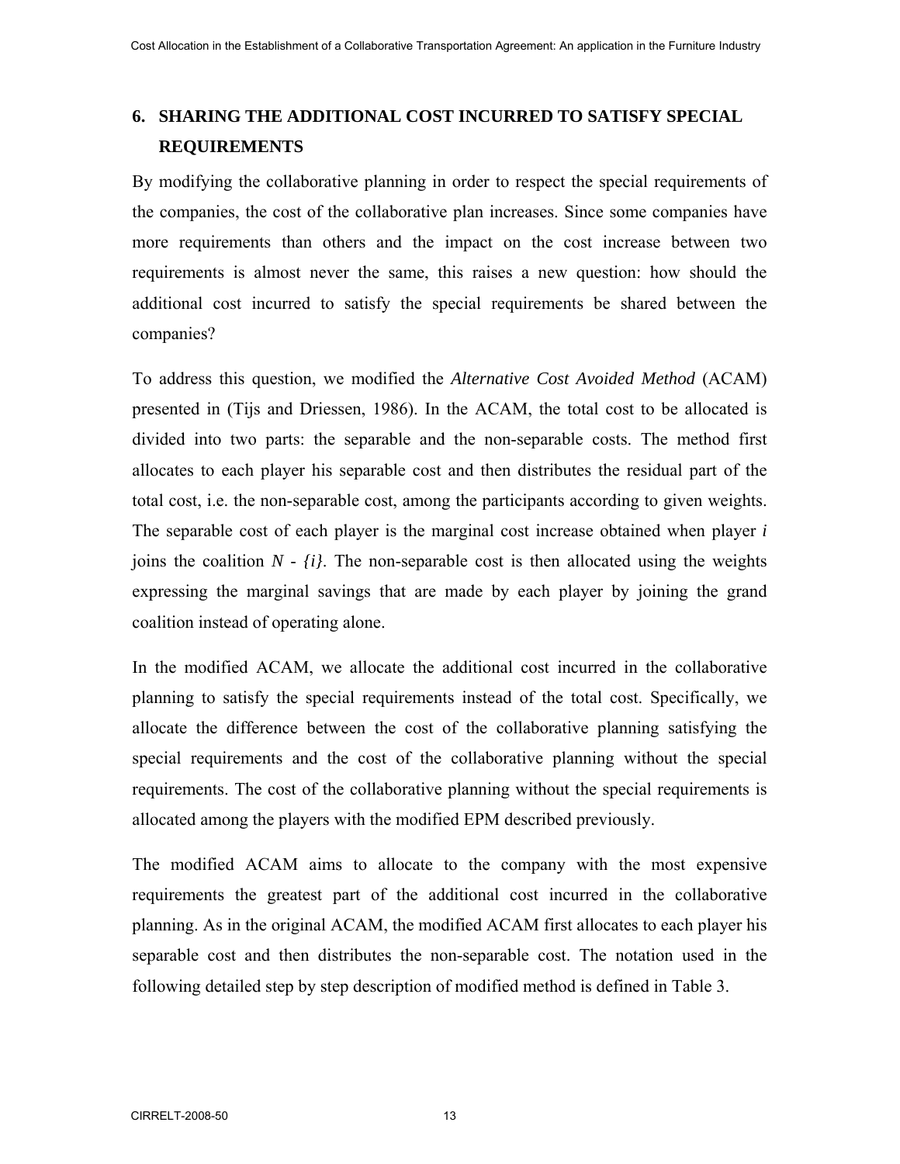# **6. SHARING THE ADDITIONAL COST INCURRED TO SATISFY SPECIAL REQUIREMENTS**

By modifying the collaborative planning in order to respect the special requirements of the companies, the cost of the collaborative plan increases. Since some companies have more requirements than others and the impact on the cost increase between two requirements is almost never the same, this raises a new question: how should the additional cost incurred to satisfy the special requirements be shared between the companies?

To address this question, we modified the *Alternative Cost Avoided Method* (ACAM) presented in (Tijs and Driessen, 1986). In the ACAM, the total cost to be allocated is divided into two parts: the separable and the non-separable costs. The method first allocates to each player his separable cost and then distributes the residual part of the total cost, i.e. the non-separable cost, among the participants according to given weights. The separable cost of each player is the marginal cost increase obtained when player *i* joins the coalition  $N - \{i\}$ . The non-separable cost is then allocated using the weights expressing the marginal savings that are made by each player by joining the grand coalition instead of operating alone.

In the modified ACAM, we allocate the additional cost incurred in the collaborative planning to satisfy the special requirements instead of the total cost. Specifically, we allocate the difference between the cost of the collaborative planning satisfying the special requirements and the cost of the collaborative planning without the special requirements. The cost of the collaborative planning without the special requirements is allocated among the players with the modified EPM described previously.

The modified ACAM aims to allocate to the company with the most expensive requirements the greatest part of the additional cost incurred in the collaborative planning. As in the original ACAM, the modified ACAM first allocates to each player his separable cost and then distributes the non-separable cost. The notation used in the following detailed step by step description of modified method is defined in Table 3.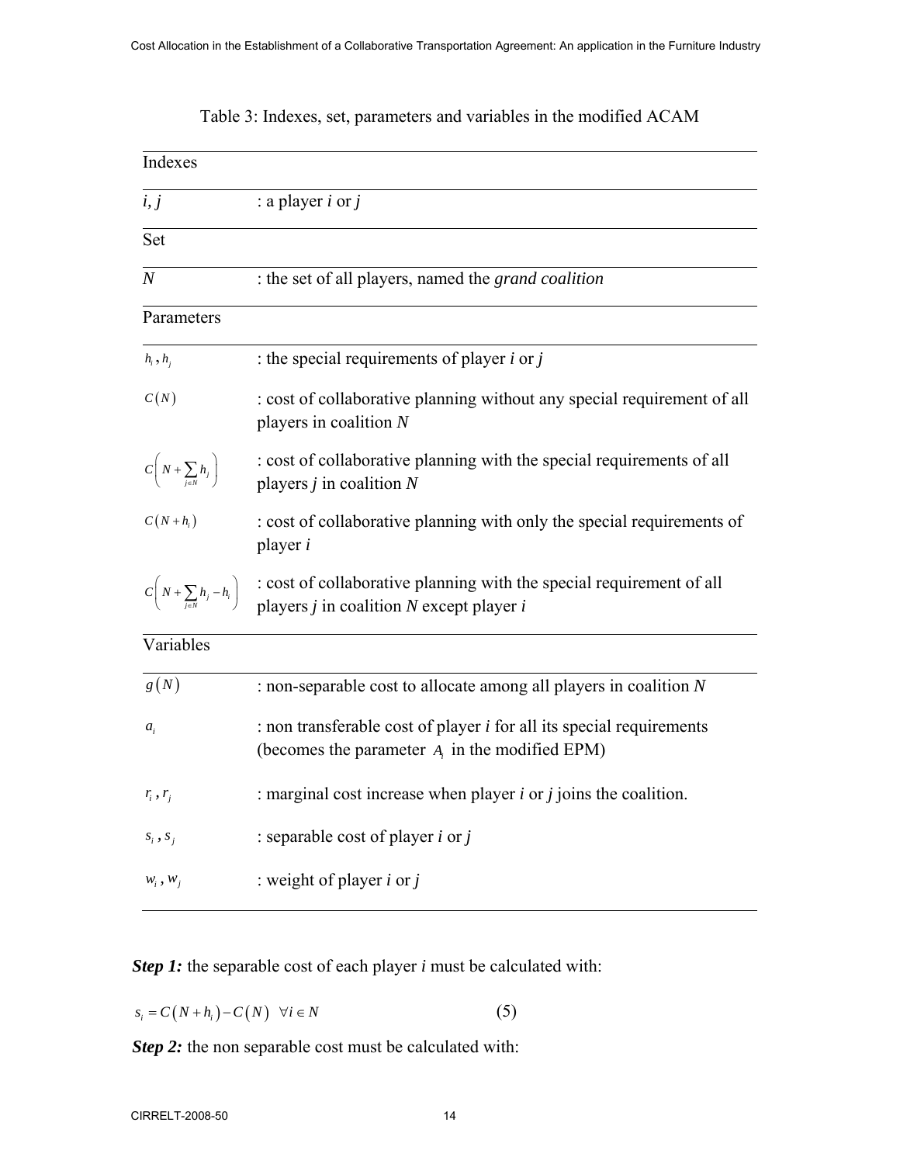| Indexes                                |                                                                                                                                  |
|----------------------------------------|----------------------------------------------------------------------------------------------------------------------------------|
| i, j                                   | : a player $i$ or $j$                                                                                                            |
| Set                                    |                                                                                                                                  |
| $\overline{N}$                         | : the set of all players, named the grand coalition                                                                              |
| Parameters                             |                                                                                                                                  |
| $h_i$ , $h_i$                          | : the special requirements of player $i$ or $j$                                                                                  |
| C(N)                                   | : cost of collaborative planning without any special requirement of all<br>players in coalition $N$                              |
| $C\left(N+\sum_{j\in N}h_j\right)$     | : cost of collaborative planning with the special requirements of all<br>players $j$ in coalition $N$                            |
| $C(N+h_i)$                             | : cost of collaborative planning with only the special requirements of<br>player i                                               |
| $C\left(N+\sum_{j\in N}h_j-h_i\right)$ | : cost of collaborative planning with the special requirement of all<br>players $j$ in coalition $N$ except player $i$           |
| Variables                              |                                                                                                                                  |
| g(N)                                   | : non-separable cost to allocate among all players in coalition $N$                                                              |
| $a_i$                                  | : non transferable cost of player <i>i</i> for all its special requirements<br>(becomes the parameter $A_i$ in the modified EPM) |
| $r_i$ , $r_j$                          | : marginal cost increase when player $i$ or $j$ joins the coalition.                                                             |
| $S_i$ , $S_j$                          | : separable cost of player $i$ or $j$                                                                                            |
| $W_i, W_j$                             | : weight of player $i$ or $j$                                                                                                    |

# Table 3: Indexes, set, parameters and variables in the modified ACAM

*Step 1:* the separable cost of each player *i* must be calculated with:

$$
s_i = C(N + h_i) - C(N) \quad \forall i \in N
$$
 (5)

*Step 2:* the non separable cost must be calculated with: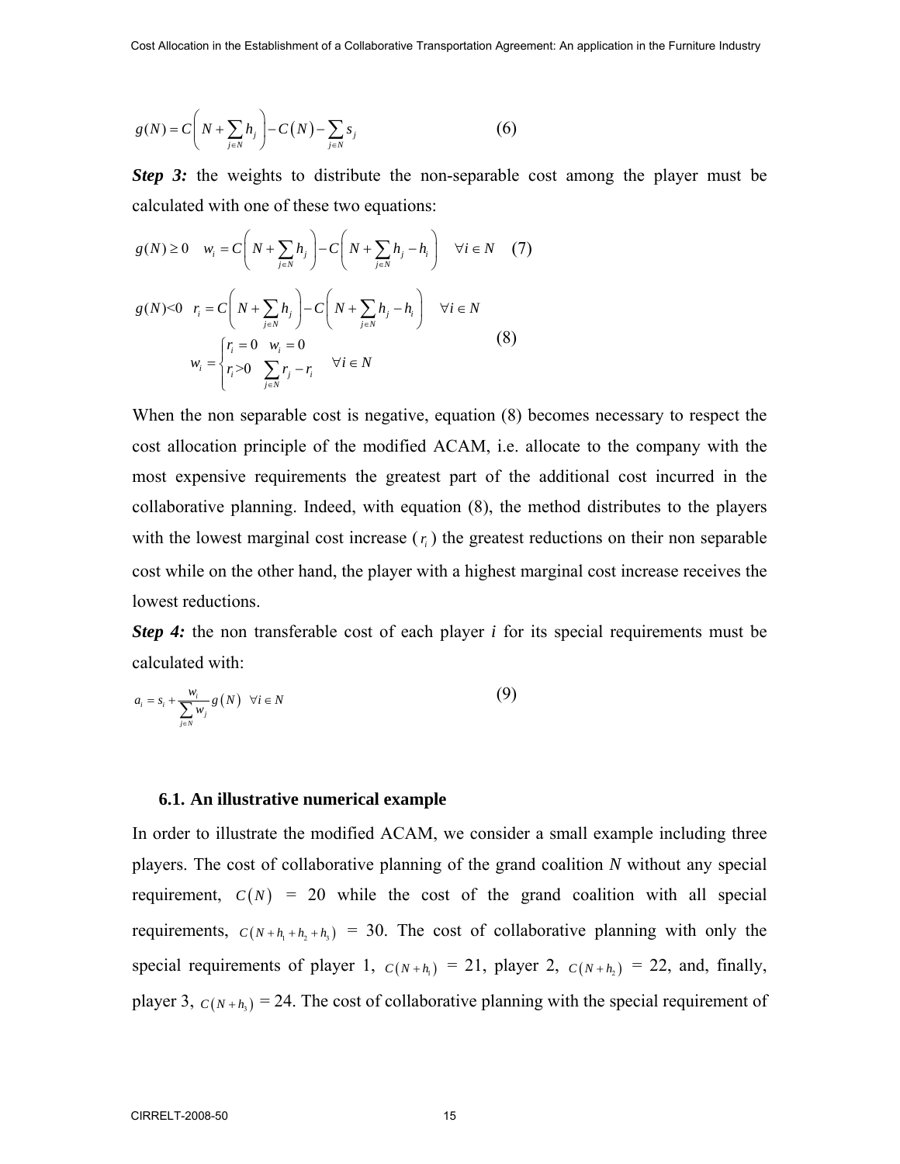$$
g(N) = C\left(N + \sum_{j \in N} h_j\right) - C\left(N\right) - \sum_{j \in N} s_j \tag{6}
$$

*Step 3:* the weights to distribute the non-separable cost among the player must be calculated with one of these two equations:

$$
g(N) \ge 0 \quad w_i = C\left(N + \sum_{j \in N} h_j\right) - C\left(N + \sum_{j \in N} h_j - h_i\right) \quad \forall i \in N \quad (7)
$$
  

$$
g(N) < 0 \quad r_i = C\left(N + \sum_{j \in N} h_j\right) - C\left(N + \sum_{j \in N} h_j - h_i\right) \quad \forall i \in N
$$
  

$$
w_i = \begin{cases} r_i = 0 & w_i = 0 \\ r_i > 0 & \sum_{j \in N} r_j - r_i \end{cases} \quad \forall i \in N
$$
  
(8)

When the non separable cost is negative, equation (8) becomes necessary to respect the cost allocation principle of the modified ACAM, i.e. allocate to the company with the most expensive requirements the greatest part of the additional cost incurred in the collaborative planning. Indeed, with equation (8), the method distributes to the players with the lowest marginal cost increase  $(r<sub>i</sub>)$  the greatest reductions on their non separable cost while on the other hand, the player with a highest marginal cost increase receives the lowest reductions.

*Step 4:* the non transferable cost of each player *i* for its special requirements must be calculated with:

$$
a_i = s_i + \frac{w_i}{\sum_{j \in N} w_j} g(N) \quad \forall i \in N
$$
 (9)

#### **6.1. An illustrative numerical example**

In order to illustrate the modified ACAM, we consider a small example including three players. The cost of collaborative planning of the grand coalition *N* without any special requirement,  $C(N) = 20$  while the cost of the grand coalition with all special requirements,  $C(N+h_1+h_2+h_3) = 30$ . The cost of collaborative planning with only the special requirements of player 1,  $C(N+h_1) = 21$ , player 2,  $C(N+h_2) = 22$ , and, finally, player 3,  $C(N+h_3) = 24$ . The cost of collaborative planning with the special requirement of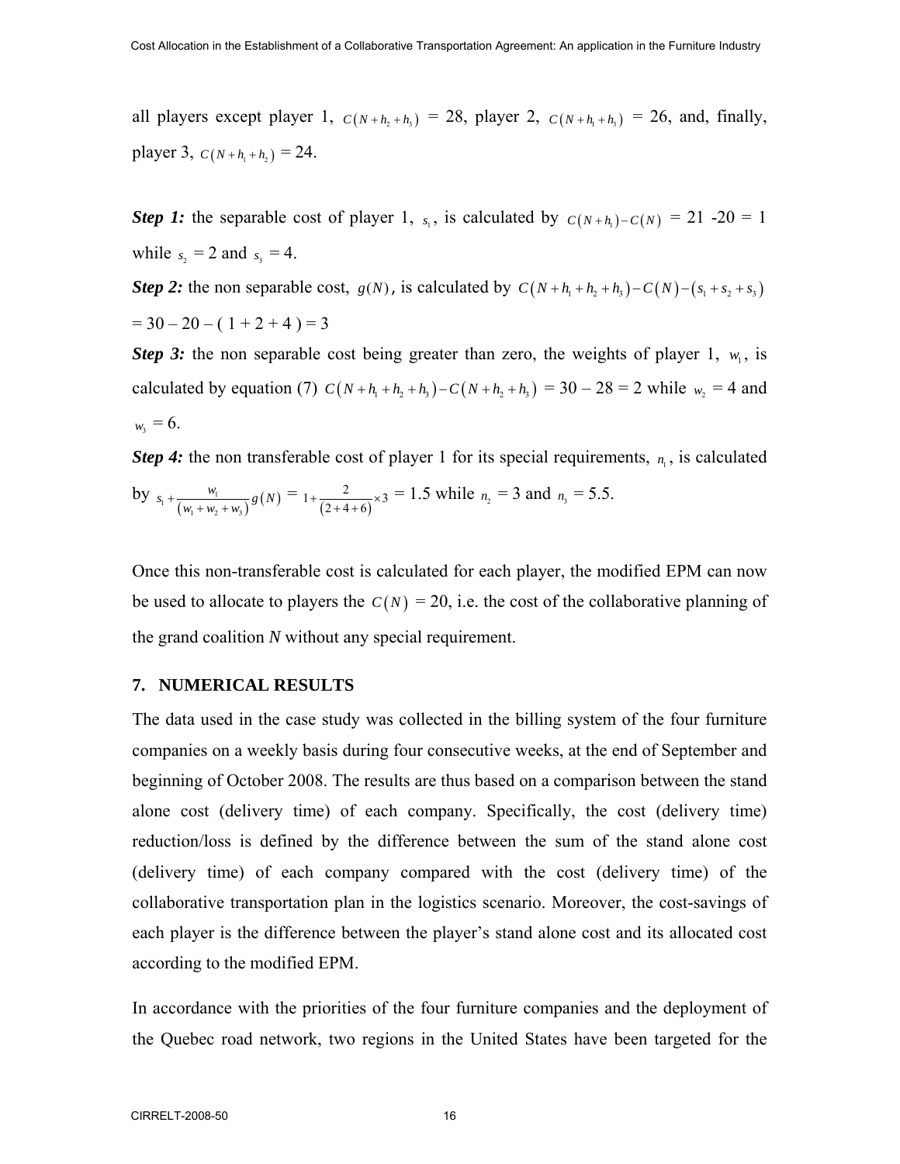all players except player 1,  $C(N+h,+h_1) = 28$ , player 2,  $C(N+h_1+h_1) = 26$ , and, finally, player 3,  $C(N+h_1+h_2) = 24$ .

*Step 1:* the separable cost of player 1,  $s_1$ , is calculated by  $C(N+h_1)-C(N) = 21 - 20 = 1$ while  $s_2 = 2$  and  $s_3 = 4$ .

*Step 2:* the non separable cost,  $g(N)$ , is calculated by  $C(N+h_1+h_2+h_3)-C(N)-(s_1+s_2+s_3)$  $= 30 - 20 - (1 + 2 + 4) = 3$ 

*Step 3:* the non separable cost being greater than zero, the weights of player 1,  $w_1$ , is calculated by equation (7)  $C(N+h_1+h_2+h_3) - C(N+h_1+h_4) = 30 - 28 = 2$  while  $w_2 = 4$  and  $w_3 = 6$ .

*Step 4:* the non transferable cost of player 1 for its special requirements,  $n_1$ , is calculated by  $s_1 + \frac{w_1}{(w_1 + w_2 + w_3)} g(N) =$  $1+\frac{2}{(2+4+6)} \times 3 = 1.5$  while  $n_2 = 3$  and  $n_3 = 5.5$ .

Once this non-transferable cost is calculated for each player, the modified EPM can now be used to allocate to players the  $C(N) = 20$ , i.e. the cost of the collaborative planning of the grand coalition *N* without any special requirement.

#### **7. NUMERICAL RESULTS**

The data used in the case study was collected in the billing system of the four furniture companies on a weekly basis during four consecutive weeks, at the end of September and beginning of October 2008. The results are thus based on a comparison between the stand alone cost (delivery time) of each company. Specifically, the cost (delivery time) reduction/loss is defined by the difference between the sum of the stand alone cost (delivery time) of each company compared with the cost (delivery time) of the collaborative transportation plan in the logistics scenario. Moreover, the cost-savings of each player is the difference between the player's stand alone cost and its allocated cost according to the modified EPM.

In accordance with the priorities of the four furniture companies and the deployment of the Quebec road network, two regions in the United States have been targeted for the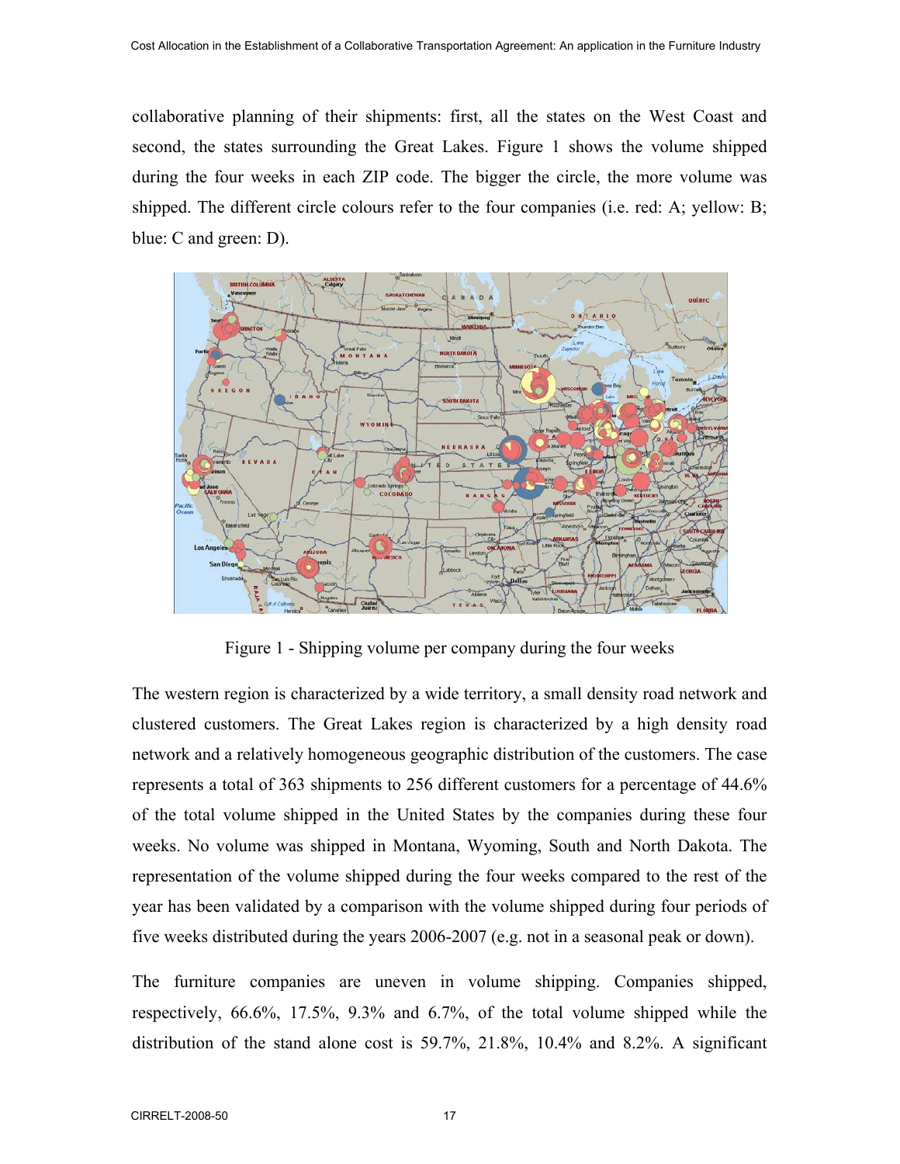collaborative planning of their shipments: first, all the states on the West Coast and second, the states surrounding the Great Lakes. Figure 1 shows the volume shipped during the four weeks in each ZIP code. The bigger the circle, the more volume was shipped. The different circle colours refer to the four companies (i.e. red: A; yellow: B; blue: C and green: D).



Figure 1 - Shipping volume per company during the four weeks

The western region is characterized by a wide territory, a small density road network and clustered customers. The Great Lakes region is characterized by a high density road network and a relatively homogeneous geographic distribution of the customers. The case represents a total of 363 shipments to 256 different customers for a percentage of 44.6% of the total volume shipped in the United States by the companies during these four weeks. No volume was shipped in Montana, Wyoming, South and North Dakota. The representation of the volume shipped during the four weeks compared to the rest of the year has been validated by a comparison with the volume shipped during four periods of five weeks distributed during the years 2006-2007 (e.g. not in a seasonal peak or down).

The furniture companies are uneven in volume shipping. Companies shipped, respectively, 66.6%, 17.5%, 9.3% and 6.7%, of the total volume shipped while the distribution of the stand alone cost is 59.7%, 21.8%, 10.4% and 8.2%. A significant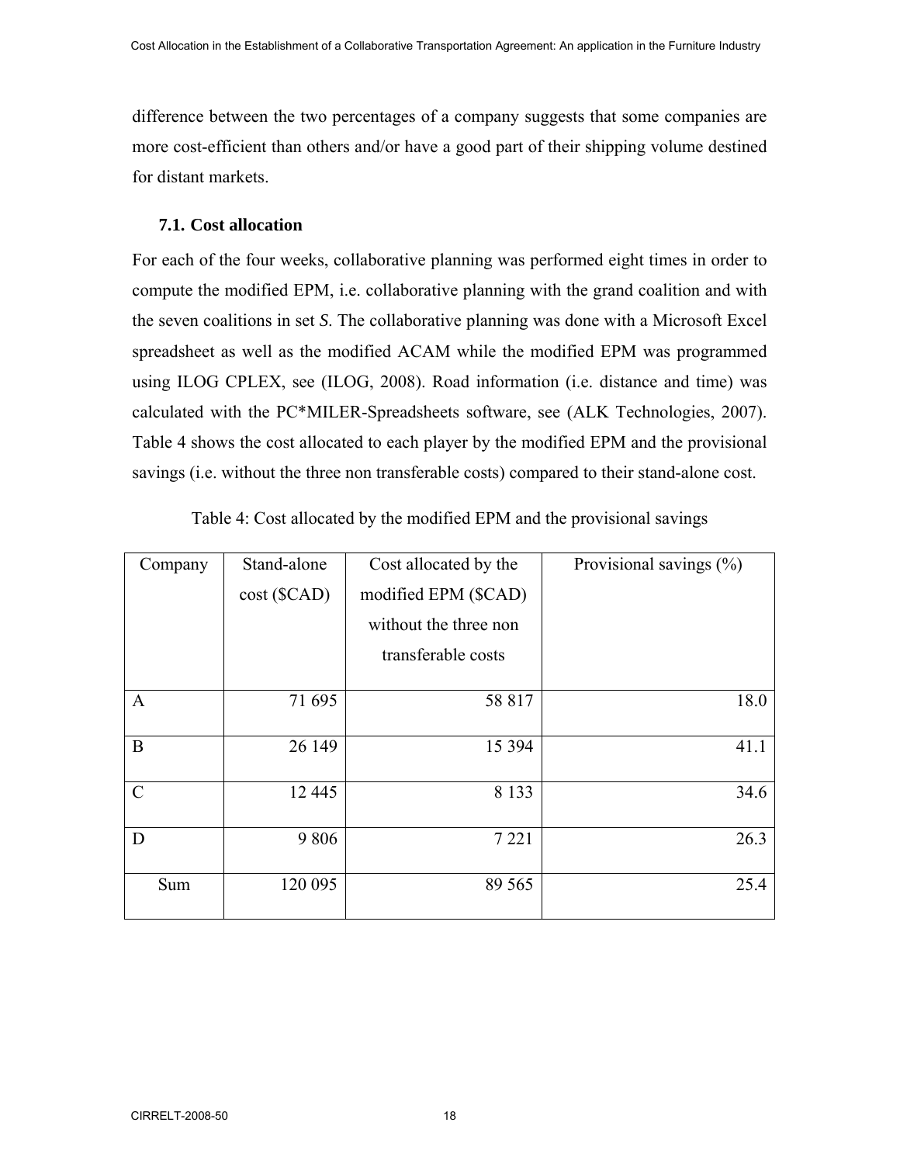difference between the two percentages of a company suggests that some companies are more cost-efficient than others and/or have a good part of their shipping volume destined for distant markets.

# **7.1. Cost allocation**

For each of the four weeks, collaborative planning was performed eight times in order to compute the modified EPM, i.e. collaborative planning with the grand coalition and with the seven coalitions in set *S*. The collaborative planning was done with a Microsoft Excel spreadsheet as well as the modified ACAM while the modified EPM was programmed using ILOG CPLEX, see (ILOG, 2008). Road information (i.e. distance and time) was calculated with the PC\*MILER-Spreadsheets software, see (ALK Technologies, 2007). Table 4 shows the cost allocated to each player by the modified EPM and the provisional savings (i.e. without the three non transferable costs) compared to their stand-alone cost.

| Company       | Stand-alone | Cost allocated by the | Provisional savings (%) |
|---------------|-------------|-----------------------|-------------------------|
|               | cost(SCAD)  | modified EPM (\$CAD)  |                         |
|               |             | without the three non |                         |
|               |             | transferable costs    |                         |
|               |             |                       |                         |
| $\mathbf{A}$  | 71 695      | 58 817                | 18.0                    |
|               |             |                       |                         |
| $\bf{B}$      | 26 149      | 15 3 94               | 41.1                    |
|               |             |                       |                         |
| $\mathcal{C}$ | 12 4 45     | 8 1 3 3               | 34.6                    |
| D             | 9806        | 7 2 2 1               | 26.3                    |
|               |             |                       |                         |
| Sum           | 120 095     | 89 565                | 25.4                    |
|               |             |                       |                         |

Table 4: Cost allocated by the modified EPM and the provisional savings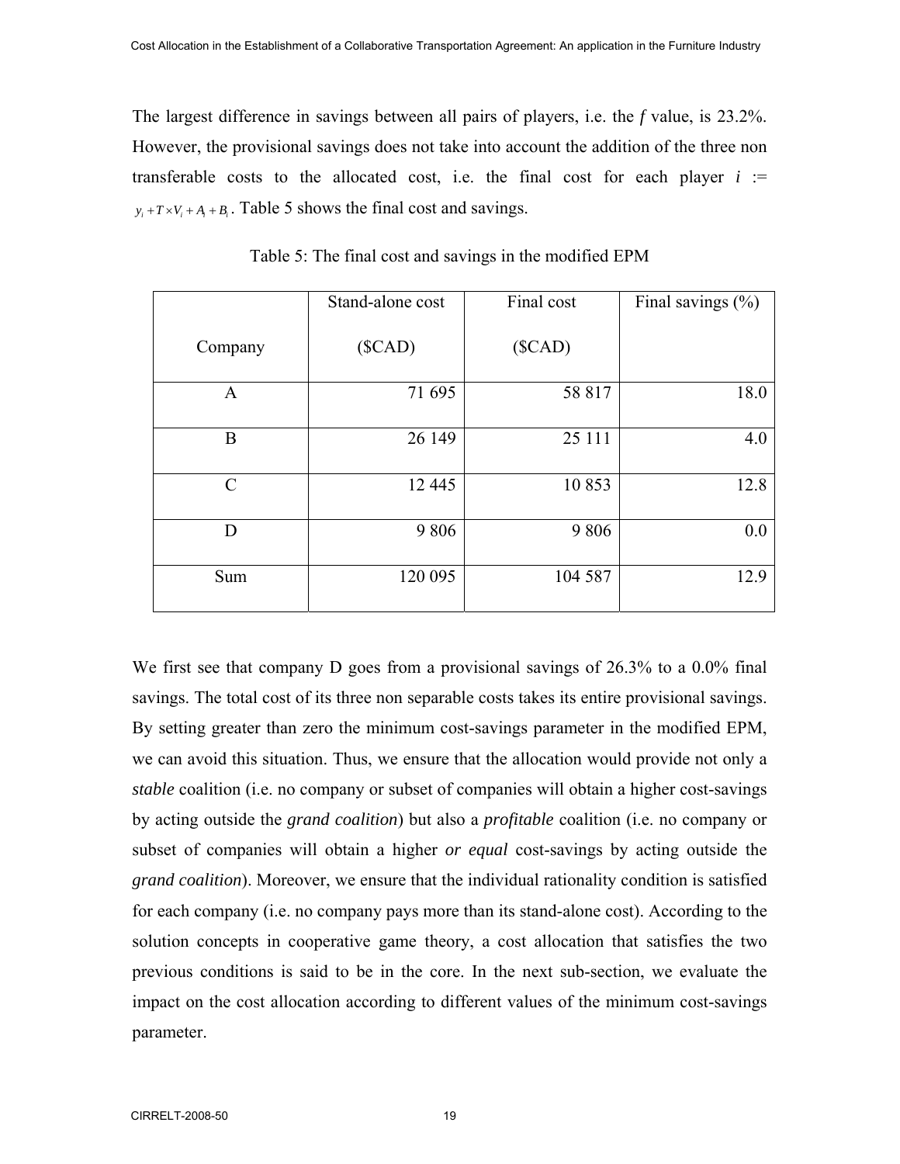The largest difference in savings between all pairs of players, i.e. the *f* value, is 23.2%. However, the provisional savings does not take into account the addition of the three non transferable costs to the allocated cost, i.e. the final cost for each player  $i :=$  $y_i + T \times V_i + A_i + B_i$ . Table 5 shows the final cost and savings.

|               | Stand-alone cost | Final cost | Final savings $(\% )$ |
|---------------|------------------|------------|-----------------------|
| Company       | (SCAD)           | (SCAD)     |                       |
| A             | 71 695           | 58 817     | 18.0                  |
| B             | 26 149           | 25 111     | 4.0                   |
| $\mathcal{C}$ | 12 4 45          | 10853      | 12.8                  |
| D             | 9 8 0 6          | 9 8 0 6    | 0.0                   |
| Sum           | 120 095          | 104 587    | 12.9                  |

Table 5: The final cost and savings in the modified EPM

We first see that company D goes from a provisional savings of 26.3% to a 0.0% final savings. The total cost of its three non separable costs takes its entire provisional savings. By setting greater than zero the minimum cost-savings parameter in the modified EPM, we can avoid this situation. Thus, we ensure that the allocation would provide not only a *stable* coalition (i.e. no company or subset of companies will obtain a higher cost-savings by acting outside the *grand coalition*) but also a *profitable* coalition (i.e. no company or subset of companies will obtain a higher *or equal* cost-savings by acting outside the *grand coalition*). Moreover, we ensure that the individual rationality condition is satisfied for each company (i.e. no company pays more than its stand-alone cost). According to the solution concepts in cooperative game theory, a cost allocation that satisfies the two previous conditions is said to be in the core. In the next sub-section, we evaluate the impact on the cost allocation according to different values of the minimum cost-savings parameter.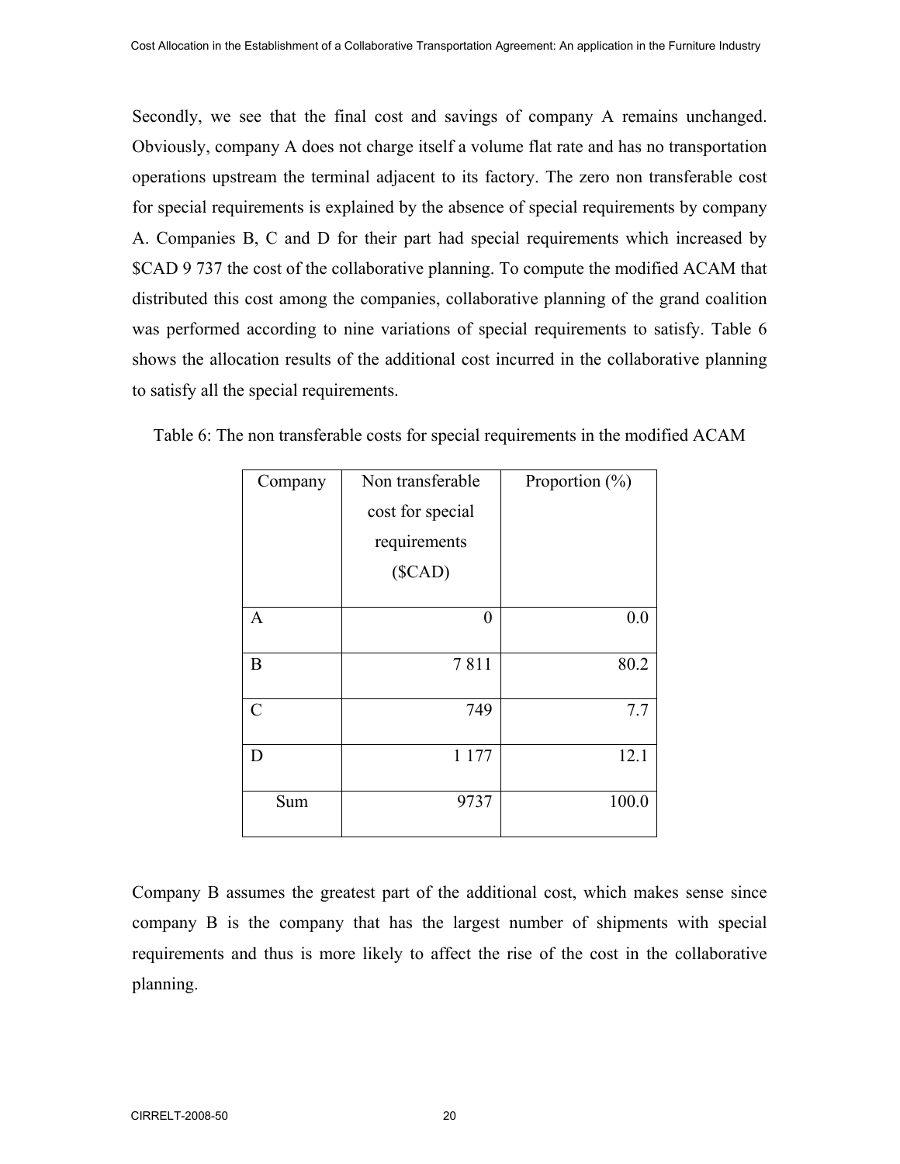Secondly, we see that the final cost and savings of company A remains unchanged. Obviously, company A does not charge itself a volume flat rate and has no transportation operations upstream the terminal adjacent to its factory. The zero non transferable cost for special requirements is explained by the absence of special requirements by company A. Companies B, C and D for their part had special requirements which increased by \$CAD 9 737 the cost of the collaborative planning. To compute the modified ACAM that distributed this cost among the companies, collaborative planning of the grand coalition was performed according to nine variations of special requirements to satisfy. Table 6 shows the allocation results of the additional cost incurred in the collaborative planning to satisfy all the special requirements.

| Company | Non transferable | Proportion $(\% )$ |
|---------|------------------|--------------------|
|         | cost for special |                    |
|         | requirements     |                    |
|         | (SCAD)           |                    |
|         |                  |                    |
| A       | 0                | 0.0                |
|         |                  |                    |
| B       | 7811             | 80.2               |
|         |                  |                    |
| C       | 749              | 7.7                |
|         |                  |                    |
| D       | 1 177            | 12.1               |
|         |                  |                    |
| Sum     | 9737             | 100.0              |
|         |                  |                    |

Table 6: The non transferable costs for special requirements in the modified ACAM

Company B assumes the greatest part of the additional cost, which makes sense since company B is the company that has the largest number of shipments with special requirements and thus is more likely to affect the rise of the cost in the collaborative planning.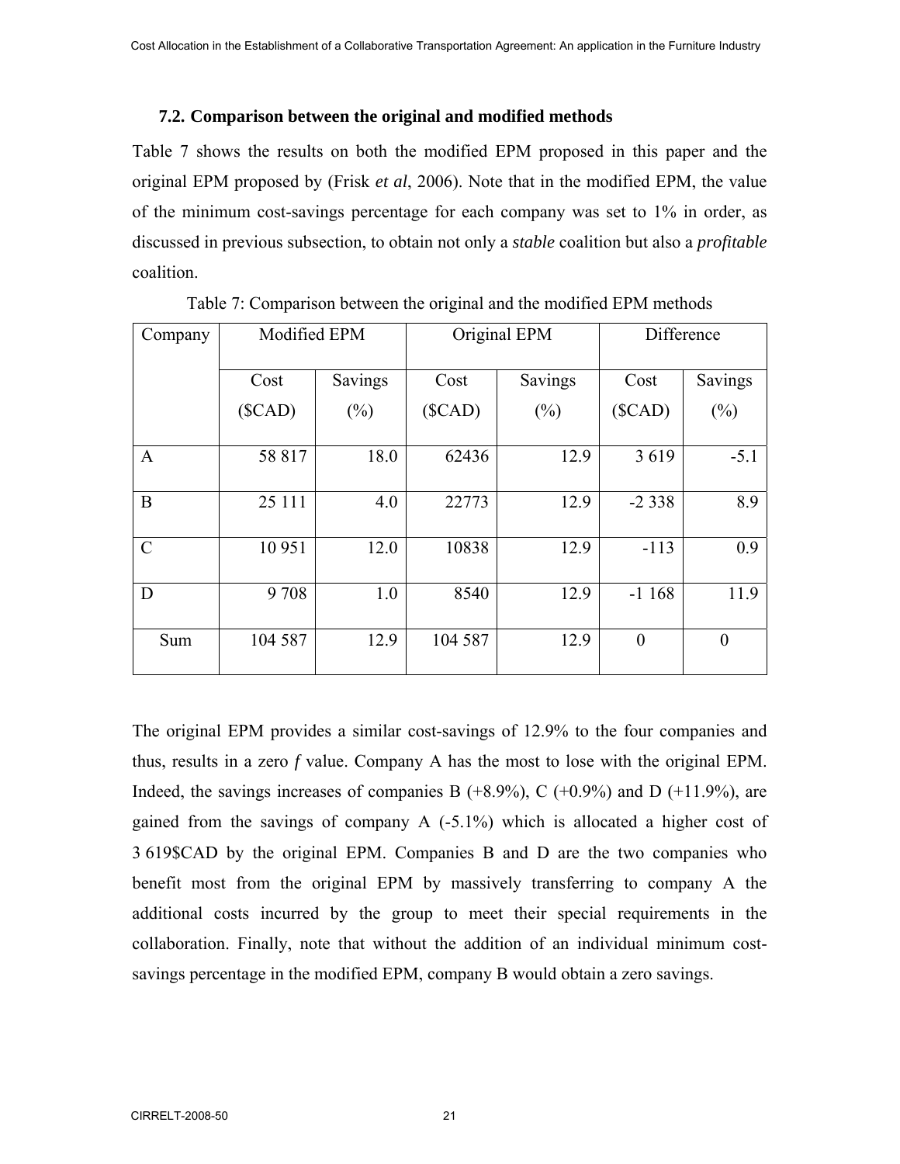# **7.2. Comparison between the original and modified methods**

Table 7 shows the results on both the modified EPM proposed in this paper and the original EPM proposed by (Frisk *et al*, 2006). Note that in the modified EPM, the value of the minimum cost-savings percentage for each company was set to 1% in order, as discussed in previous subsection, to obtain not only a *stable* coalition but also a *profitable* coalition.

| Company       | Modified EPM |         | Original EPM |         | Difference       |                  |
|---------------|--------------|---------|--------------|---------|------------------|------------------|
|               | Cost         | Savings | Cost         | Savings | Cost             | Savings          |
|               | (SCAD)       | $(\%)$  | (SCAD)       | $(\%)$  | (SCAD)           | $(\%)$           |
| $\mathbf{A}$  | 58 817       | 18.0    | 62436        | 12.9    | 3619             | $-5.1$           |
| B             | 25 111       | 4.0     | 22773        | 12.9    | $-2338$          | 8.9              |
| $\mathcal{C}$ | 10 951       | 12.0    | 10838        | 12.9    | $-113$           | 0.9              |
| D             | 9708         | 1.0     | 8540         | 12.9    | $-1168$          | 11.9             |
| Sum           | 104 587      | 12.9    | 104 587      | 12.9    | $\boldsymbol{0}$ | $\boldsymbol{0}$ |

Table 7: Comparison between the original and the modified EPM methods

The original EPM provides a similar cost-savings of 12.9% to the four companies and thus, results in a zero *f* value. Company A has the most to lose with the original EPM. Indeed, the savings increases of companies B  $(+8.9\%)$ , C  $(+0.9\%)$  and D  $(+11.9\%)$ , are gained from the savings of company A (-5.1%) which is allocated a higher cost of 3 619\$CAD by the original EPM. Companies B and D are the two companies who benefit most from the original EPM by massively transferring to company A the additional costs incurred by the group to meet their special requirements in the collaboration. Finally, note that without the addition of an individual minimum costsavings percentage in the modified EPM, company B would obtain a zero savings.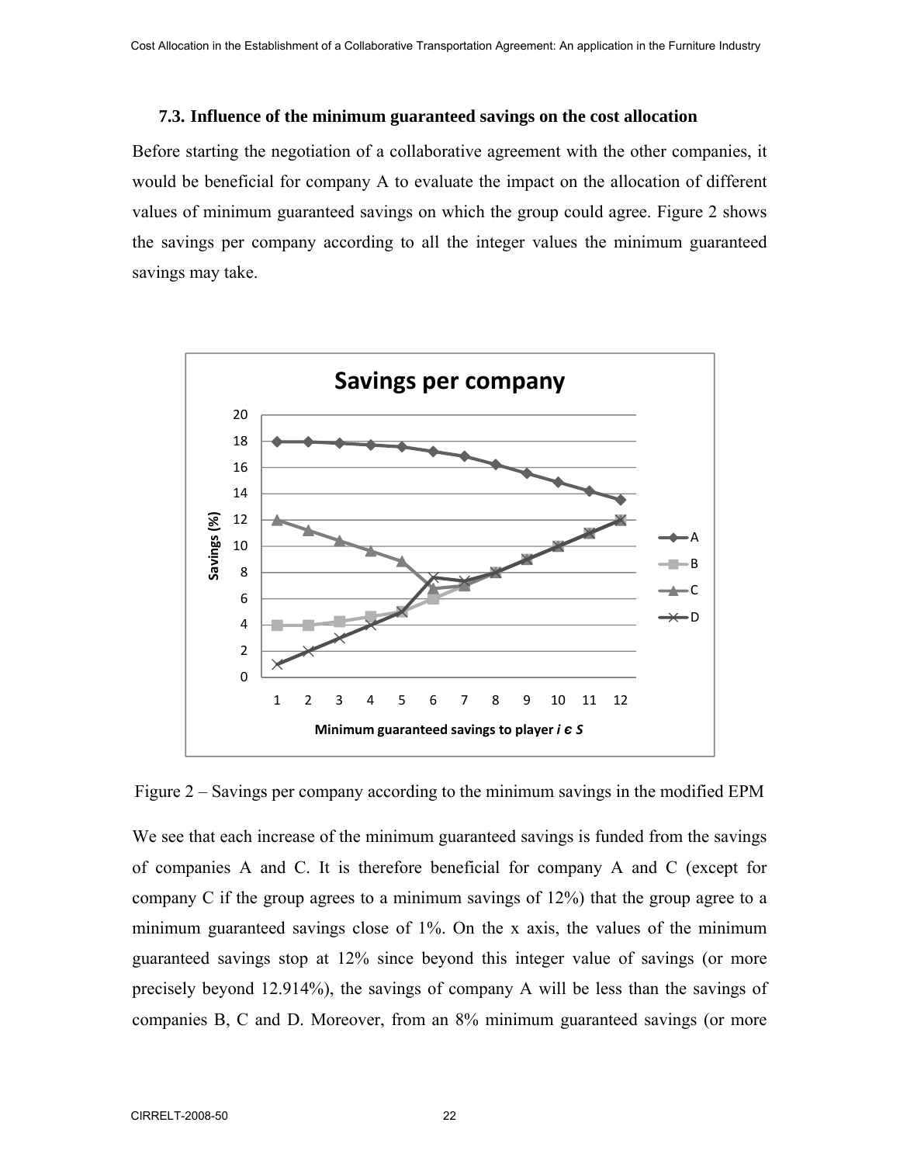#### **7.3. Influence of the minimum guaranteed savings on the cost allocation**

Before starting the negotiation of a collaborative agreement with the other companies, it would be beneficial for company A to evaluate the impact on the allocation of different values of minimum guaranteed savings on which the group could agree. Figure 2 shows the savings per company according to all the integer values the minimum guaranteed savings may take.



Figure 2 – Savings per company according to the minimum savings in the modified EPM

We see that each increase of the minimum guaranteed savings is funded from the savings of companies A and C. It is therefore beneficial for company A and C (except for company C if the group agrees to a minimum savings of  $12\%$ ) that the group agree to a minimum guaranteed savings close of 1%. On the x axis, the values of the minimum guaranteed savings stop at 12% since beyond this integer value of savings (or more precisely beyond 12.914%), the savings of company A will be less than the savings of companies B, C and D. Moreover, from an 8% minimum guaranteed savings (or more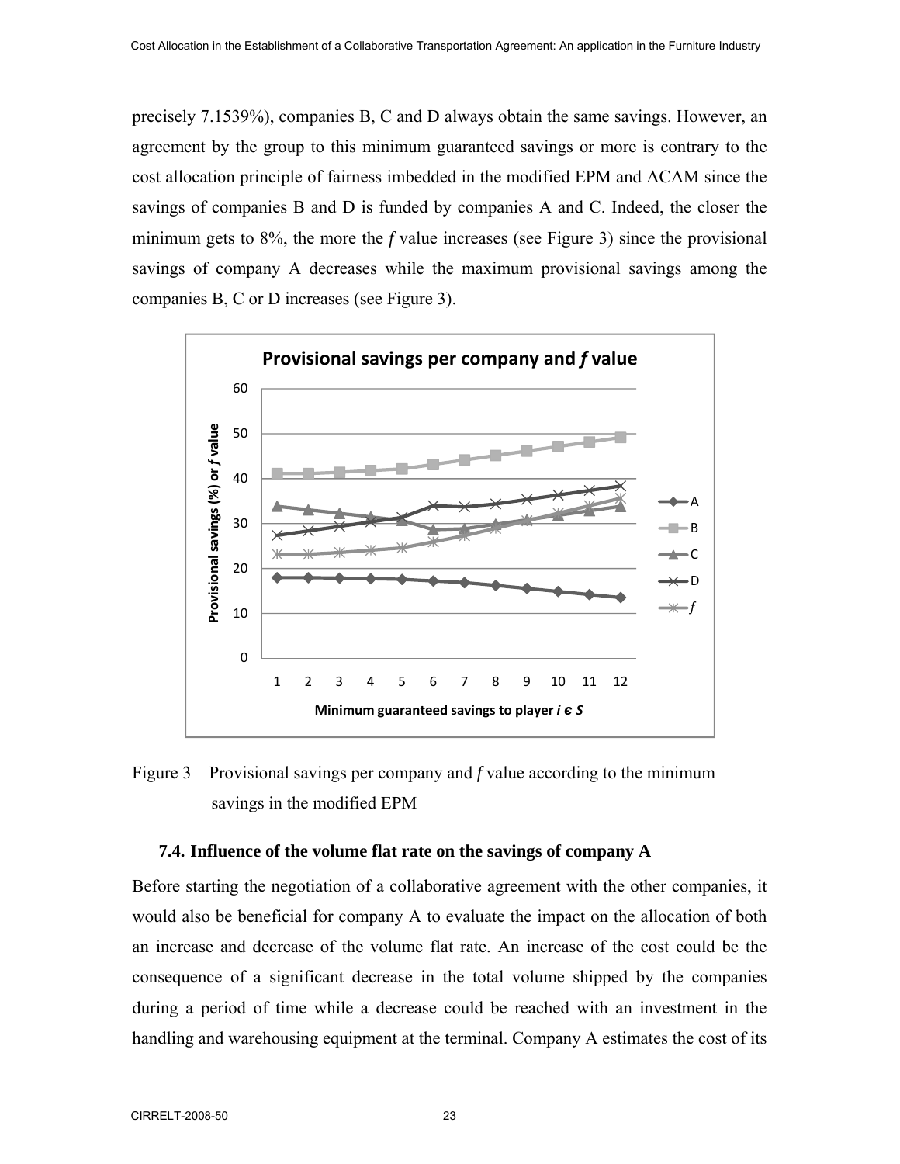precisely 7.1539%), companies B, C and D always obtain the same savings. However, an agreement by the group to this minimum guaranteed savings or more is contrary to the cost allocation principle of fairness imbedded in the modified EPM and ACAM since the savings of companies B and D is funded by companies A and C. Indeed, the closer the minimum gets to 8%, the more the *f* value increases (see Figure 3) since the provisional savings of company A decreases while the maximum provisional savings among the companies B, C or D increases (see Figure 3).



Figure 3 – Provisional savings per company and *f* value according to the minimum savings in the modified EPM

#### **7.4. Influence of the volume flat rate on the savings of company A**

Before starting the negotiation of a collaborative agreement with the other companies, it would also be beneficial for company A to evaluate the impact on the allocation of both an increase and decrease of the volume flat rate. An increase of the cost could be the consequence of a significant decrease in the total volume shipped by the companies during a period of time while a decrease could be reached with an investment in the handling and warehousing equipment at the terminal. Company A estimates the cost of its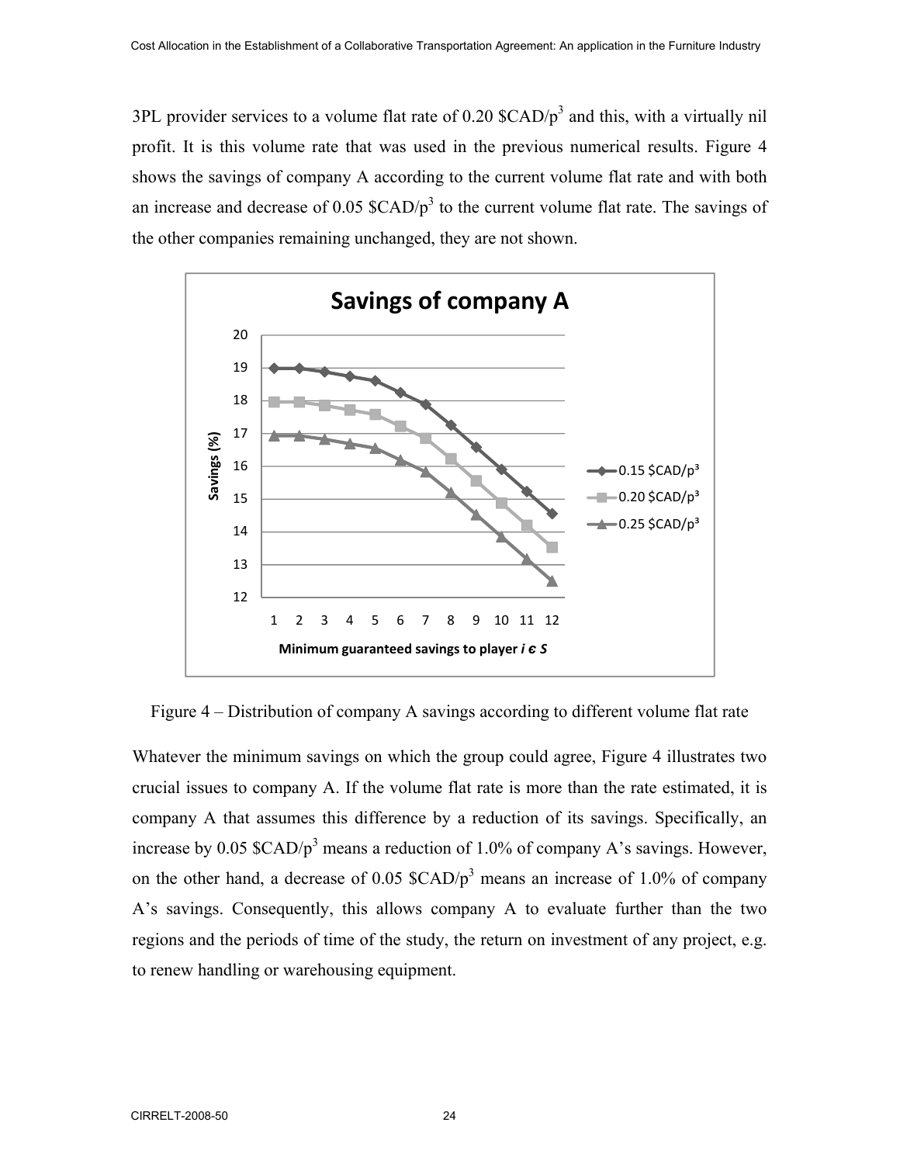3PL provider services to a volume flat rate of 0.20  $\mathcal{S}$ CAD/ $p^3$  and this, with a virtually nil profit. It is this volume rate that was used in the previous numerical results. Figure 4 shows the savings of company A according to the current volume flat rate and with both an increase and decrease of 0.05  $\mathcal{S}$ CAD/ $p^3$  to the current volume flat rate. The savings of the other companies remaining unchanged, they are not shown.



Figure 4 – Distribution of company A savings according to different volume flat rate

Whatever the minimum savings on which the group could agree, Figure 4 illustrates two crucial issues to company A. If the volume flat rate is more than the rate estimated, it is company A that assumes this difference by a reduction of its savings. Specifically, an increase by 0.05 \$CAD/ $p^3$  means a reduction of 1.0% of company A's savings. However, on the other hand, a decrease of  $0.05$  \$CAD/ $p<sup>3</sup>$  means an increase of 1.0% of company A's savings. Consequently, this allows company A to evaluate further than the two regions and the periods of time of the study, the return on investment of any project, e.g. to renew handling or warehousing equipment.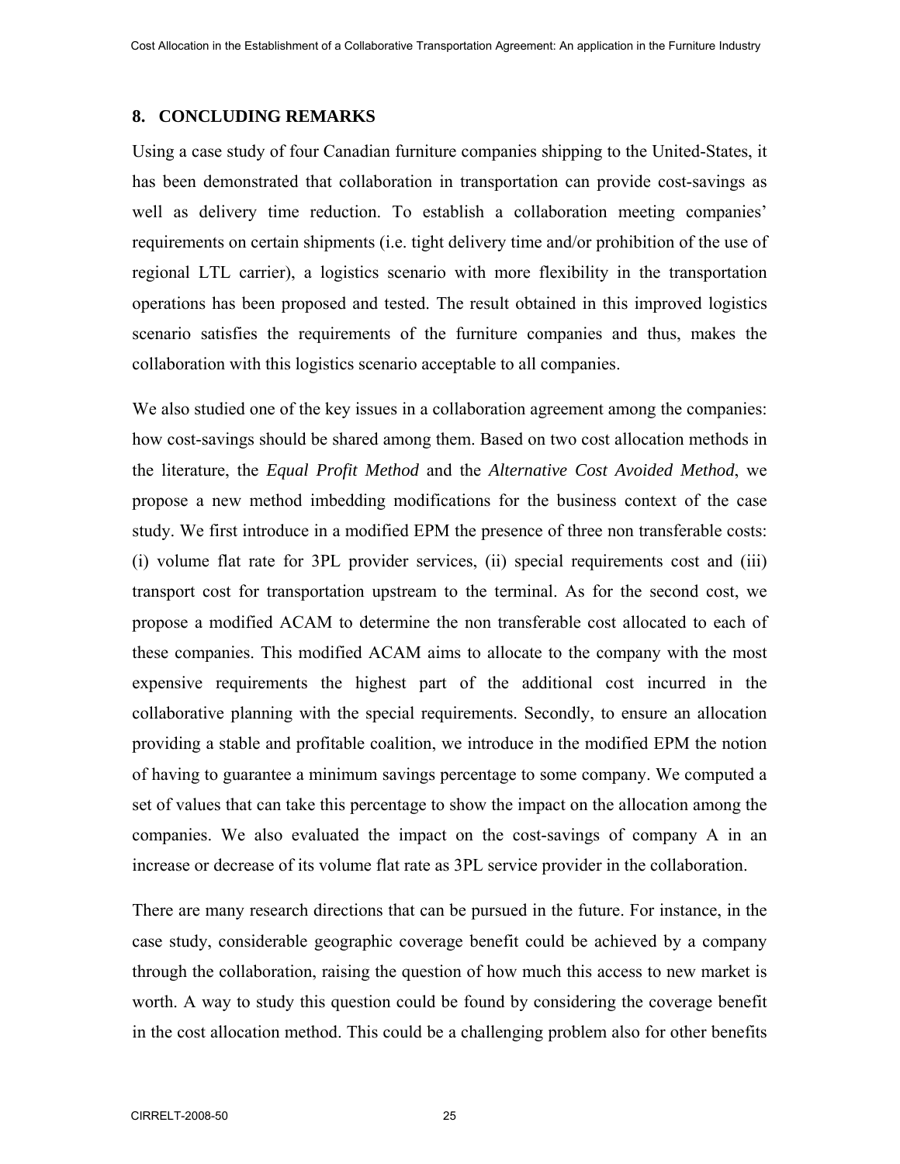#### **8. CONCLUDING REMARKS**

Using a case study of four Canadian furniture companies shipping to the United-States, it has been demonstrated that collaboration in transportation can provide cost-savings as well as delivery time reduction. To establish a collaboration meeting companies' requirements on certain shipments (i.e. tight delivery time and/or prohibition of the use of regional LTL carrier), a logistics scenario with more flexibility in the transportation operations has been proposed and tested. The result obtained in this improved logistics scenario satisfies the requirements of the furniture companies and thus, makes the collaboration with this logistics scenario acceptable to all companies.

We also studied one of the key issues in a collaboration agreement among the companies: how cost-savings should be shared among them. Based on two cost allocation methods in the literature, the *Equal Profit Method* and the *Alternative Cost Avoided Method*, we propose a new method imbedding modifications for the business context of the case study. We first introduce in a modified EPM the presence of three non transferable costs: (i) volume flat rate for 3PL provider services, (ii) special requirements cost and (iii) transport cost for transportation upstream to the terminal. As for the second cost, we propose a modified ACAM to determine the non transferable cost allocated to each of these companies. This modified ACAM aims to allocate to the company with the most expensive requirements the highest part of the additional cost incurred in the collaborative planning with the special requirements. Secondly, to ensure an allocation providing a stable and profitable coalition, we introduce in the modified EPM the notion of having to guarantee a minimum savings percentage to some company. We computed a set of values that can take this percentage to show the impact on the allocation among the companies. We also evaluated the impact on the cost-savings of company A in an increase or decrease of its volume flat rate as 3PL service provider in the collaboration.

There are many research directions that can be pursued in the future. For instance, in the case study, considerable geographic coverage benefit could be achieved by a company through the collaboration, raising the question of how much this access to new market is worth. A way to study this question could be found by considering the coverage benefit in the cost allocation method. This could be a challenging problem also for other benefits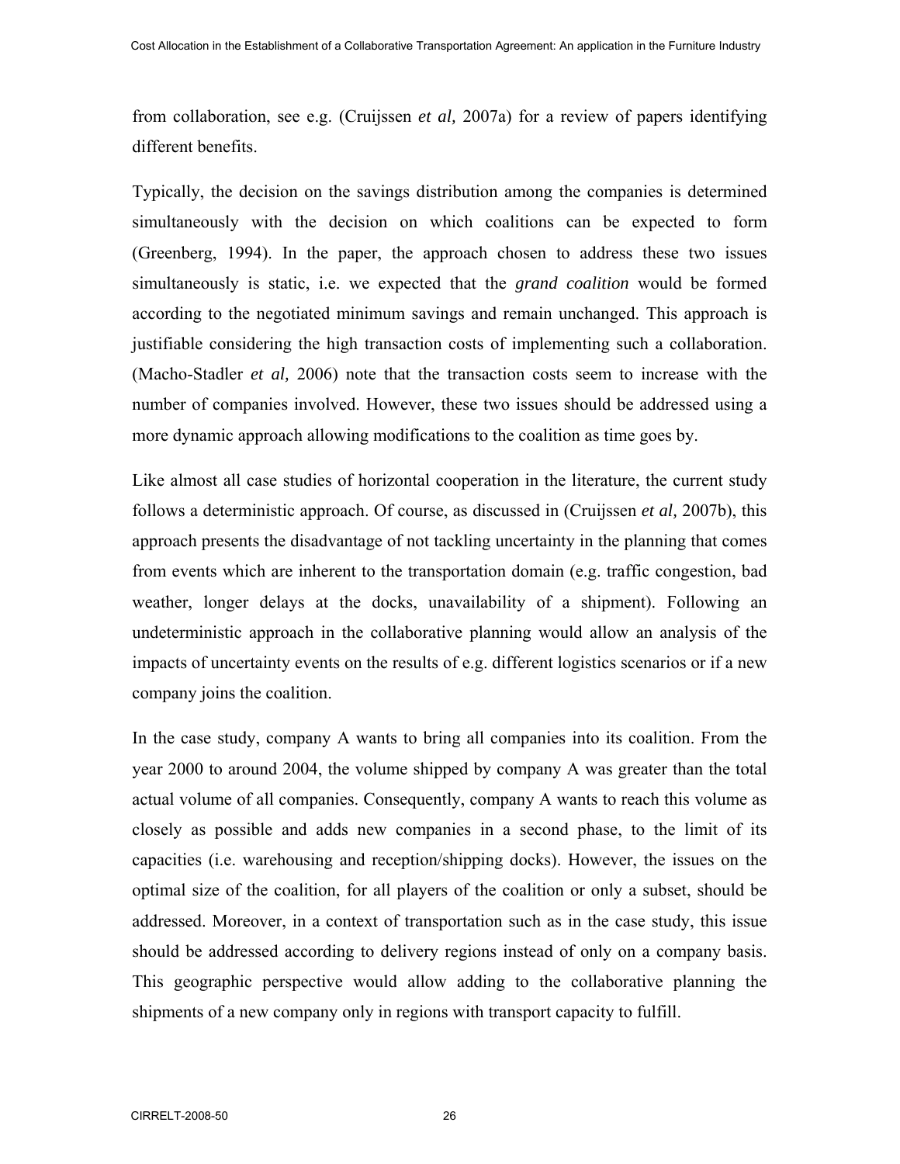from collaboration, see e.g. (Cruijssen *et al,* 2007a) for a review of papers identifying different benefits.

Typically, the decision on the savings distribution among the companies is determined simultaneously with the decision on which coalitions can be expected to form (Greenberg, 1994). In the paper, the approach chosen to address these two issues simultaneously is static, i.e. we expected that the *grand coalition* would be formed according to the negotiated minimum savings and remain unchanged. This approach is justifiable considering the high transaction costs of implementing such a collaboration. (Macho-Stadler *et al,* 2006) note that the transaction costs seem to increase with the number of companies involved. However, these two issues should be addressed using a more dynamic approach allowing modifications to the coalition as time goes by.

Like almost all case studies of horizontal cooperation in the literature, the current study follows a deterministic approach. Of course, as discussed in (Cruijssen *et al,* 2007b), this approach presents the disadvantage of not tackling uncertainty in the planning that comes from events which are inherent to the transportation domain (e.g. traffic congestion, bad weather, longer delays at the docks, unavailability of a shipment). Following an undeterministic approach in the collaborative planning would allow an analysis of the impacts of uncertainty events on the results of e.g. different logistics scenarios or if a new company joins the coalition.

In the case study, company A wants to bring all companies into its coalition. From the year 2000 to around 2004, the volume shipped by company A was greater than the total actual volume of all companies. Consequently, company A wants to reach this volume as closely as possible and adds new companies in a second phase, to the limit of its capacities (i.e. warehousing and reception/shipping docks). However, the issues on the optimal size of the coalition, for all players of the coalition or only a subset, should be addressed. Moreover, in a context of transportation such as in the case study, this issue should be addressed according to delivery regions instead of only on a company basis. This geographic perspective would allow adding to the collaborative planning the shipments of a new company only in regions with transport capacity to fulfill.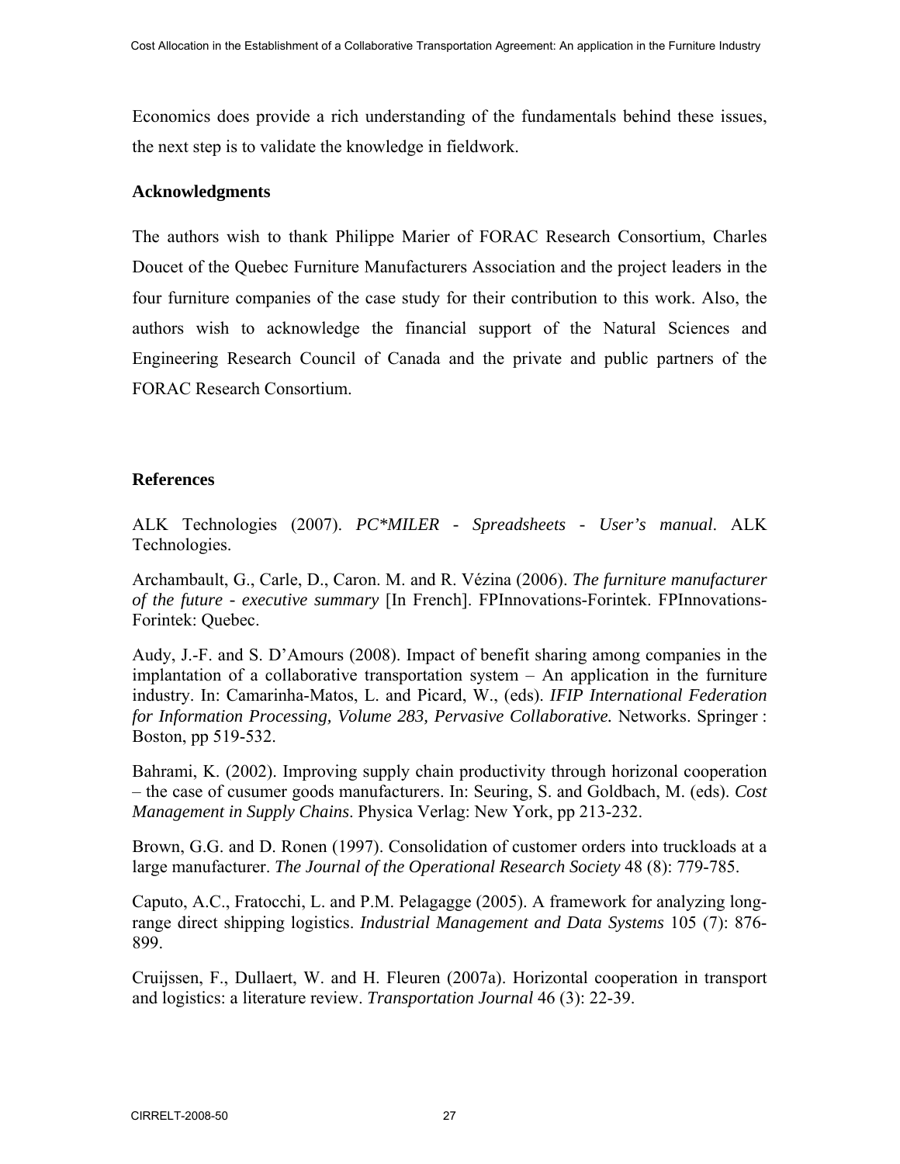Economics does provide a rich understanding of the fundamentals behind these issues, the next step is to validate the knowledge in fieldwork.

### **Acknowledgments**

The authors wish to thank Philippe Marier of FORAC Research Consortium, Charles Doucet of the Quebec Furniture Manufacturers Association and the project leaders in the four furniture companies of the case study for their contribution to this work. Also, the authors wish to acknowledge the financial support of the Natural Sciences and Engineering Research Council of Canada and the private and public partners of the FORAC Research Consortium.

# **References**

ALK Technologies (2007). *PC\*MILER - Spreadsheets - User's manual*. ALK Technologies.

Archambault, G., Carle, D., Caron. M. and R. Vézina (2006). *The furniture manufacturer of the future - executive summary* [In French]. FPInnovations-Forintek. FPInnovations-Forintek: Quebec.

Audy, J.-F. and S. D'Amours (2008). Impact of benefit sharing among companies in the implantation of a collaborative transportation system – An application in the furniture industry. In: Camarinha-Matos, L. and Picard, W., (eds). *IFIP International Federation for Information Processing, Volume 283, Pervasive Collaborative.* Networks. Springer : Boston, pp 519-532.

Bahrami, K. (2002). Improving supply chain productivity through horizonal cooperation – the case of cusumer goods manufacturers. In: Seuring, S. and Goldbach, M. (eds). *Cost Management in Supply Chains*. Physica Verlag: New York, pp 213-232.

Brown, G.G. and D. Ronen (1997). Consolidation of customer orders into truckloads at a large manufacturer. *The Journal of the Operational Research Society* 48 (8): 779-785.

Caputo, A.C., Fratocchi, L. and P.M. Pelagagge (2005). A framework for analyzing longrange direct shipping logistics. *Industrial Management and Data Systems* 105 (7): 876- 899.

Cruijssen, F., Dullaert, W. and H. Fleuren (2007a). Horizontal cooperation in transport and logistics: a literature review. *Transportation Journal* 46 (3): 22-39.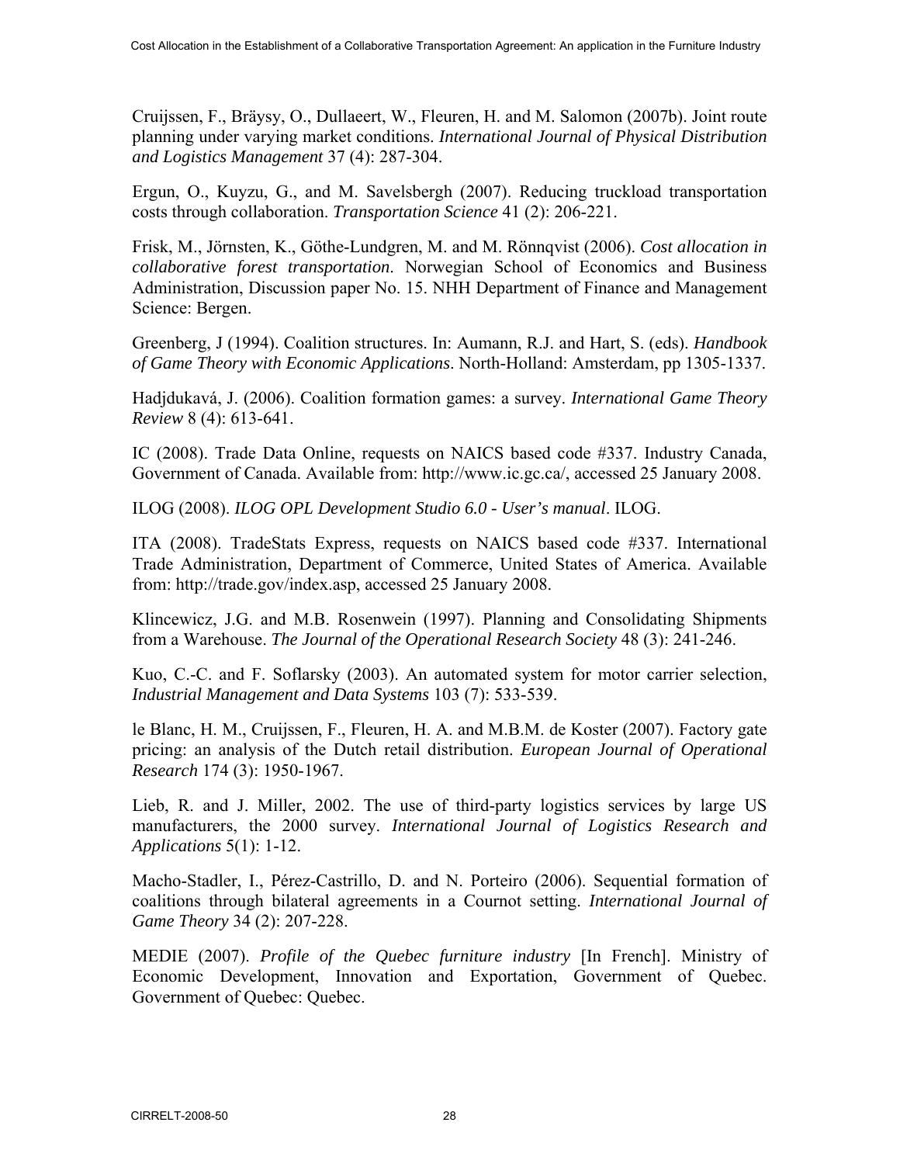Cruijssen, F., Bräysy, O., Dullaeert, W., Fleuren, H. and M. Salomon (2007b). Joint route planning under varying market conditions. *International Journal of Physical Distribution and Logistics Management* 37 (4): 287-304.

Ergun, O., Kuyzu, G., and M. Savelsbergh (2007). Reducing truckload transportation costs through collaboration. *Transportation Science* 41 (2): 206-221.

Frisk, M., Jörnsten, K., Göthe-Lundgren, M. and M. Rönnqvist (2006). *Cost allocation in collaborative forest transportation*. Norwegian School of Economics and Business Administration, Discussion paper No. 15. NHH Department of Finance and Management Science: Bergen.

Greenberg, J (1994). Coalition structures. In: Aumann, R.J. and Hart, S. (eds). *Handbook of Game Theory with Economic Applications*. North-Holland: Amsterdam, pp 1305-1337.

Hadjdukavá, J. (2006). Coalition formation games: a survey. *International Game Theory Review* 8 (4): 613-641.

IC (2008). Trade Data Online, requests on NAICS based code #337. Industry Canada, Government of Canada. Available from: http://www.ic.gc.ca/, accessed 25 January 2008.

ILOG (2008). *ILOG OPL Development Studio 6.0 - User's manual*. ILOG.

ITA (2008). TradeStats Express, requests on NAICS based code #337. International Trade Administration, Department of Commerce, United States of America. Available from: http://trade.gov/index.asp, accessed 25 January 2008.

Klincewicz, J.G. and M.B. Rosenwein (1997). Planning and Consolidating Shipments from a Warehouse. *The Journal of the Operational Research Society* 48 (3): 241-246.

Kuo, C.-C. and F. Soflarsky (2003). An automated system for motor carrier selection, *Industrial Management and Data Systems* 103 (7): 533-539.

le Blanc, H. M., Cruijssen, F., Fleuren, H. A. and M.B.M. de Koster (2007). Factory gate pricing: an analysis of the Dutch retail distribution. *European Journal of Operational Research* 174 (3): 1950-1967.

Lieb, R. and J. Miller, 2002. The use of third-party logistics services by large US manufacturers, the 2000 survey. *International Journal of Logistics Research and Applications* 5(1): 1-12.

Macho-Stadler, I., Pérez-Castrillo, D. and N. Porteiro (2006). Sequential formation of coalitions through bilateral agreements in a Cournot setting. *International Journal of Game Theory* 34 (2): 207-228.

MEDIE (2007). *Profile of the Quebec furniture industry* [In French]. Ministry of Economic Development, Innovation and Exportation, Government of Quebec. Government of Quebec: Quebec.